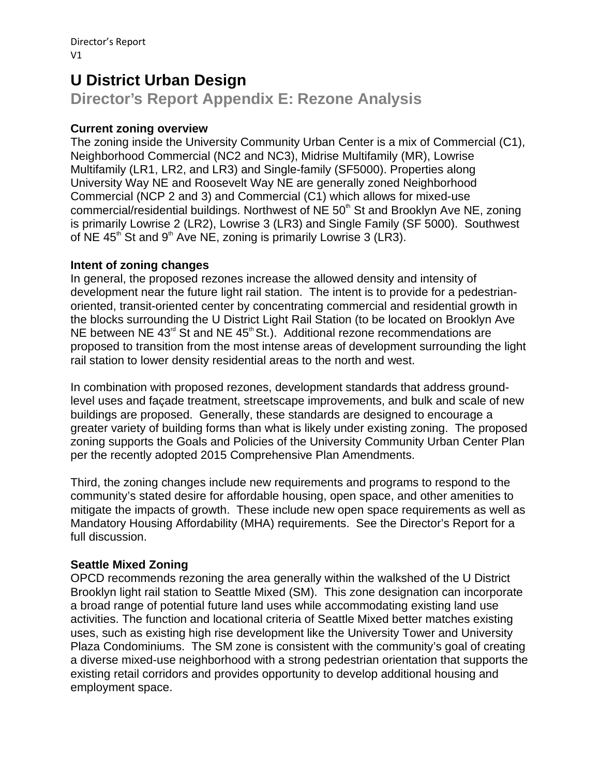Director's Report V1

# **U District Urban Design**

# **Director's Report Appendix E: Rezone Analysis**

# **Current zoning overview**

The zoning inside the University Community Urban Center is a mix of Commercial (C1), Neighborhood Commercial (NC2 and NC3), Midrise Multifamily (MR), Lowrise Multifamily (LR1, LR2, and LR3) and Single-family (SF5000). Properties along University Way NE and Roosevelt Way NE are generally zoned Neighborhood Commercial (NCP 2 and 3) and Commercial (C1) which allows for mixed-use commercial/residential buildings. Northwest of  $NE 50<sup>th</sup>$  St and Brooklyn Ave NE, zoning is primarily Lowrise 2 (LR2), Lowrise 3 (LR3) and Single Family (SF 5000). Southwest of NE  $45<sup>th</sup>$  St and  $9<sup>th</sup>$  Ave NE, zoning is primarily Lowrise 3 (LR3).

# **Intent of zoning changes**

In general, the proposed rezones increase the allowed density and intensity of development near the future light rail station. The intent is to provide for a pedestrianoriented, transit-oriented center by concentrating commercial and residential growth in the blocks surrounding the U District Light Rail Station (to be located on Brooklyn Ave NE between NE  $43<sup>rd</sup>$  St and NE  $45<sup>th</sup>$  St.). Additional rezone recommendations are proposed to transition from the most intense areas of development surrounding the light rail station to lower density residential areas to the north and west.

In combination with proposed rezones, development standards that address groundlevel uses and façade treatment, streetscape improvements, and bulk and scale of new buildings are proposed. Generally, these standards are designed to encourage a greater variety of building forms than what is likely under existing zoning. The proposed zoning supports the Goals and Policies of the University Community Urban Center Plan per the recently adopted 2015 Comprehensive Plan Amendments.

Third, the zoning changes include new requirements and programs to respond to the community's stated desire for affordable housing, open space, and other amenities to mitigate the impacts of growth. These include new open space requirements as well as Mandatory Housing Affordability (MHA) requirements. See the Director's Report for a full discussion.

# **Seattle Mixed Zoning**

OPCD recommends rezoning the area generally within the walkshed of the U District Brooklyn light rail station to Seattle Mixed (SM). This zone designation can incorporate a broad range of potential future land uses while accommodating existing land use activities. The function and locational criteria of Seattle Mixed better matches existing uses, such as existing high rise development like the University Tower and University Plaza Condominiums. The SM zone is consistent with the community's goal of creating a diverse mixed-use neighborhood with a strong pedestrian orientation that supports the existing retail corridors and provides opportunity to develop additional housing and employment space.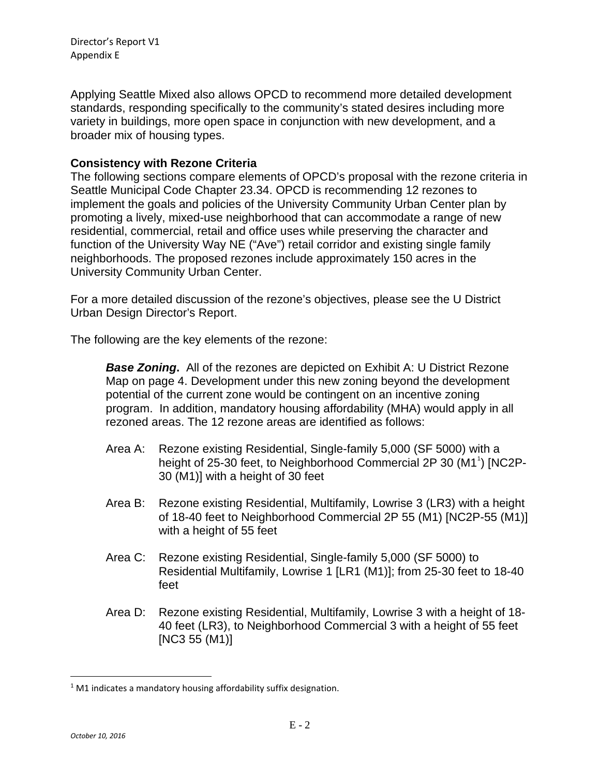Applying Seattle Mixed also allows OPCD to recommend more detailed development standards, responding specifically to the community's stated desires including more variety in buildings, more open space in conjunction with new development, and a broader mix of housing types.

## **Consistency with Rezone Criteria**

The following sections compare elements of OPCD's proposal with the rezone criteria in Seattle Municipal Code Chapter 23.34. OPCD is recommending 12 rezones to implement the goals and policies of the University Community Urban Center plan by promoting a lively, mixed-use neighborhood that can accommodate a range of new residential, commercial, retail and office uses while preserving the character and function of the University Way NE ("Ave") retail corridor and existing single family neighborhoods. The proposed rezones include approximately 150 acres in the University Community Urban Center.

For a more detailed discussion of the rezone's objectives, please see the U District Urban Design Director's Report.

The following are the key elements of the rezone:

*Base Zoning***.** All of the rezones are depicted on Exhibit A: U District Rezone Map on page 4. Development under this new zoning beyond the development potential of the current zone would be contingent on an incentive zoning program. In addition, mandatory housing affordability (MHA) would apply in all rezoned areas. The 12 rezone areas are identified as follows:

- Area A: Rezone existing Residential, Single-family 5,000 (SF 5000) with a height of 25-30 feet, to Neighborhood Commercial 2P 30 (M[1](#page-1-0)<sup>1</sup>) [NC2P-30 (M1)] with a height of 30 feet
- Area B: Rezone existing Residential, Multifamily, Lowrise 3 (LR3) with a height of 18-40 feet to Neighborhood Commercial 2P 55 (M1) [NC2P-55 (M1)] with a height of 55 feet
- Area C: Rezone existing Residential, Single-family 5,000 (SF 5000) to Residential Multifamily, Lowrise 1 [LR1 (M1)]; from 25-30 feet to 18-40 feet
- Area D: Rezone existing Residential, Multifamily, Lowrise 3 with a height of 18- 40 feet (LR3), to Neighborhood Commercial 3 with a height of 55 feet [NC3 55 (M1)]

<span id="page-1-0"></span> $1$  M1 indicates a mandatory housing affordability suffix designation.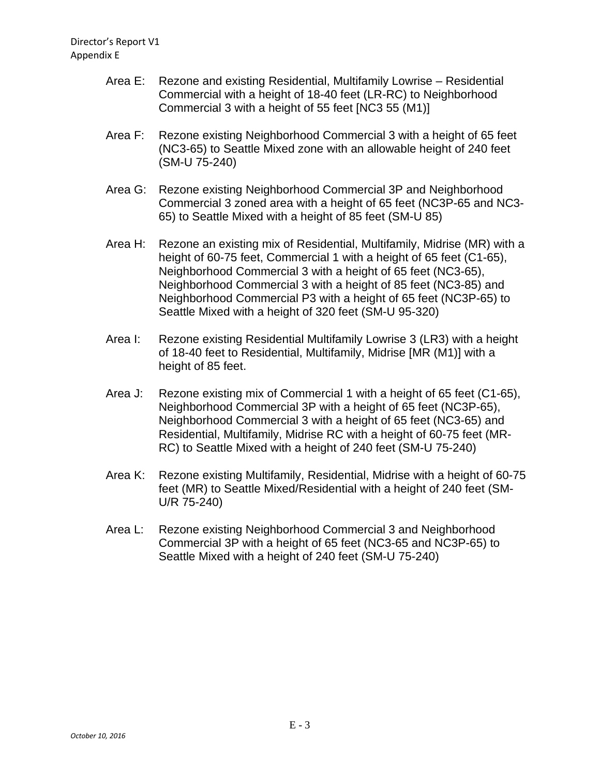- Area E: Rezone and existing Residential, Multifamily Lowrise Residential Commercial with a height of 18-40 feet (LR-RC) to Neighborhood Commercial 3 with a height of 55 feet [NC3 55 (M1)]
- Area F: Rezone existing Neighborhood Commercial 3 with a height of 65 feet (NC3-65) to Seattle Mixed zone with an allowable height of 240 feet (SM-U 75-240)
- Area G: Rezone existing Neighborhood Commercial 3P and Neighborhood Commercial 3 zoned area with a height of 65 feet (NC3P-65 and NC3- 65) to Seattle Mixed with a height of 85 feet (SM-U 85)
- Area H: Rezone an existing mix of Residential, Multifamily, Midrise (MR) with a height of 60-75 feet, Commercial 1 with a height of 65 feet (C1-65), Neighborhood Commercial 3 with a height of 65 feet (NC3-65), Neighborhood Commercial 3 with a height of 85 feet (NC3-85) and Neighborhood Commercial P3 with a height of 65 feet (NC3P-65) to Seattle Mixed with a height of 320 feet (SM-U 95-320)
- Area I: Rezone existing Residential Multifamily Lowrise 3 (LR3) with a height of 18-40 feet to Residential, Multifamily, Midrise [MR (M1)] with a height of 85 feet.
- Area J: Rezone existing mix of Commercial 1 with a height of 65 feet (C1-65), Neighborhood Commercial 3P with a height of 65 feet (NC3P-65), Neighborhood Commercial 3 with a height of 65 feet (NC3-65) and Residential, Multifamily, Midrise RC with a height of 60-75 feet (MR-RC) to Seattle Mixed with a height of 240 feet (SM-U 75-240)
- Area K: Rezone existing Multifamily, Residential, Midrise with a height of 60-75 feet (MR) to Seattle Mixed/Residential with a height of 240 feet (SM-U/R 75-240)
- Area L: Rezone existing Neighborhood Commercial 3 and Neighborhood Commercial 3P with a height of 65 feet (NC3-65 and NC3P-65) to Seattle Mixed with a height of 240 feet (SM-U 75-240)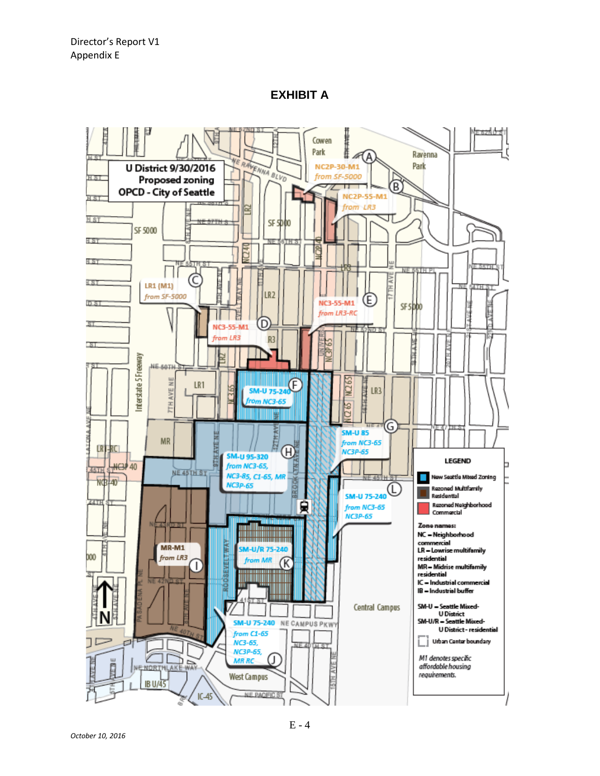**EXHIBIT A**

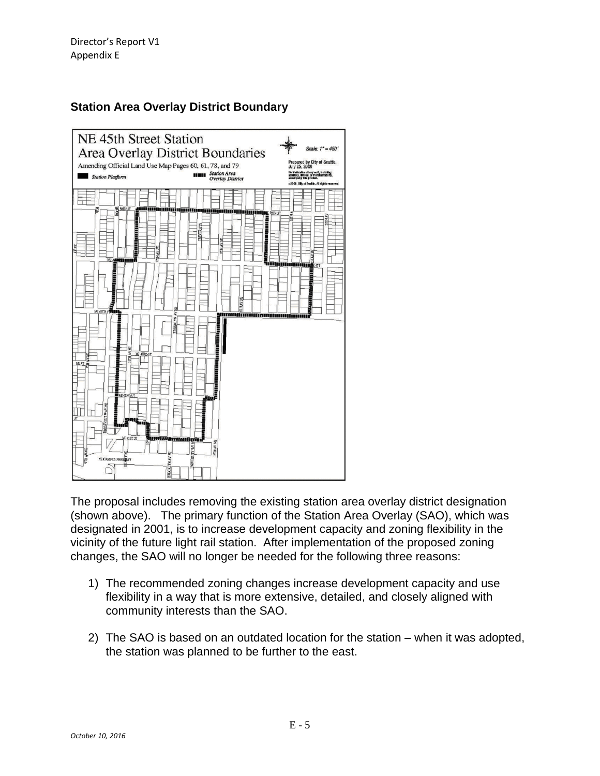# **Station Area Overlay District Boundary**



The proposal includes removing the existing station area overlay district designation (shown above). The primary function of the Station Area Overlay (SAO), which was designated in 2001, is to increase development capacity and zoning flexibility in the vicinity of the future light rail station. After implementation of the proposed zoning changes, the SAO will no longer be needed for the following three reasons:

- 1) The recommended zoning changes increase development capacity and use flexibility in a way that is more extensive, detailed, and closely aligned with community interests than the SAO.
- 2) The SAO is based on an outdated location for the station when it was adopted, the station was planned to be further to the east.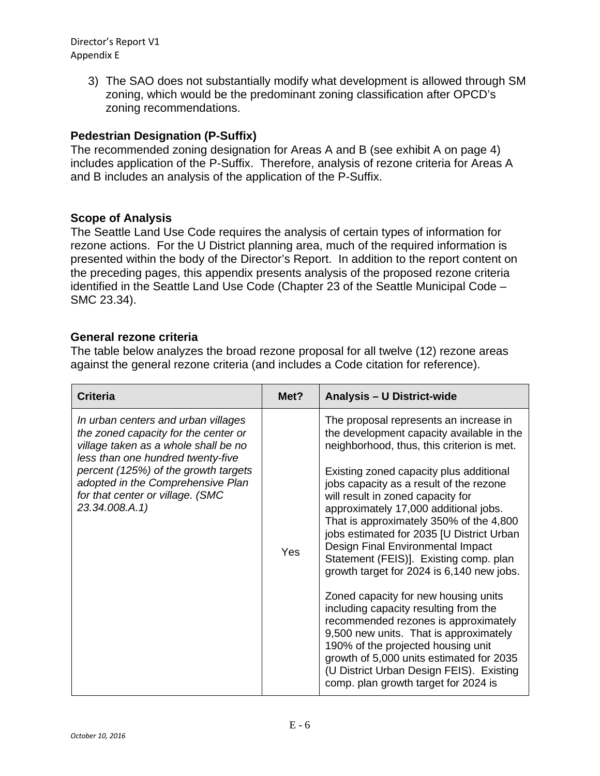Director's Report V1 Appendix E

> 3) The SAO does not substantially modify what development is allowed through SM zoning, which would be the predominant zoning classification after OPCD's zoning recommendations.

## **Pedestrian Designation (P-Suffix)**

The recommended zoning designation for Areas A and B (see exhibit A on page 4) includes application of the P-Suffix. Therefore, analysis of rezone criteria for Areas A and B includes an analysis of the application of the P-Suffix.

## **Scope of Analysis**

The Seattle Land Use Code requires the analysis of certain types of information for rezone actions. For the U District planning area, much of the required information is presented within the body of the Director's Report. In addition to the report content on the preceding pages, this appendix presents analysis of the proposed rezone criteria identified in the Seattle Land Use Code (Chapter 23 of the Seattle Municipal Code – SMC 23.34).

## **General rezone criteria**

The table below analyzes the broad rezone proposal for all twelve (12) rezone areas against the general rezone criteria (and includes a Code citation for reference).

| <b>Criteria</b>                                                                                                                                                                                                                                                                             | Met? | Analysis - U District-wide                                                                                                                                                                                                                                                                                                                                                                                                                                                                                                                                                                                                                                                                                                                                                                                                                                         |
|---------------------------------------------------------------------------------------------------------------------------------------------------------------------------------------------------------------------------------------------------------------------------------------------|------|--------------------------------------------------------------------------------------------------------------------------------------------------------------------------------------------------------------------------------------------------------------------------------------------------------------------------------------------------------------------------------------------------------------------------------------------------------------------------------------------------------------------------------------------------------------------------------------------------------------------------------------------------------------------------------------------------------------------------------------------------------------------------------------------------------------------------------------------------------------------|
| In urban centers and urban villages<br>the zoned capacity for the center or<br>village taken as a whole shall be no<br>less than one hundred twenty-five<br>percent (125%) of the growth targets<br>adopted in the Comprehensive Plan<br>for that center or village. (SMC<br>23.34.008.A.1) | Yes  | The proposal represents an increase in<br>the development capacity available in the<br>neighborhood, thus, this criterion is met.<br>Existing zoned capacity plus additional<br>jobs capacity as a result of the rezone<br>will result in zoned capacity for<br>approximately 17,000 additional jobs.<br>That is approximately 350% of the 4,800<br>jobs estimated for 2035 [U District Urban<br>Design Final Environmental Impact<br>Statement (FEIS)]. Existing comp. plan<br>growth target for 2024 is 6,140 new jobs.<br>Zoned capacity for new housing units<br>including capacity resulting from the<br>recommended rezones is approximately<br>9,500 new units. That is approximately<br>190% of the projected housing unit<br>growth of 5,000 units estimated for 2035<br>(U District Urban Design FEIS). Existing<br>comp. plan growth target for 2024 is |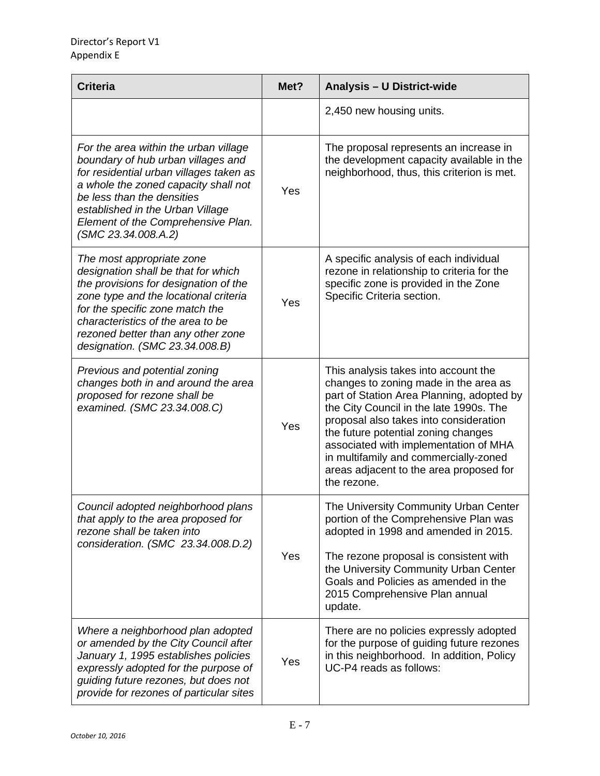| <b>Criteria</b>                                                                                                                                                                                                                                                                                    | Met? | Analysis - U District-wide                                                                                                                                                                                                                                                                                                                                                                         |
|----------------------------------------------------------------------------------------------------------------------------------------------------------------------------------------------------------------------------------------------------------------------------------------------------|------|----------------------------------------------------------------------------------------------------------------------------------------------------------------------------------------------------------------------------------------------------------------------------------------------------------------------------------------------------------------------------------------------------|
|                                                                                                                                                                                                                                                                                                    |      | 2,450 new housing units.                                                                                                                                                                                                                                                                                                                                                                           |
| For the area within the urban village<br>boundary of hub urban villages and<br>for residential urban villages taken as<br>a whole the zoned capacity shall not<br>be less than the densities<br>established in the Urban Village<br>Element of the Comprehensive Plan.<br>(SMC 23.34.008.A.2)      | Yes  | The proposal represents an increase in<br>the development capacity available in the<br>neighborhood, thus, this criterion is met.                                                                                                                                                                                                                                                                  |
| The most appropriate zone<br>designation shall be that for which<br>the provisions for designation of the<br>zone type and the locational criteria<br>for the specific zone match the<br>characteristics of the area to be<br>rezoned better than any other zone<br>designation. (SMC 23.34.008.B) | Yes  | A specific analysis of each individual<br>rezone in relationship to criteria for the<br>specific zone is provided in the Zone<br>Specific Criteria section.                                                                                                                                                                                                                                        |
| Previous and potential zoning<br>changes both in and around the area<br>proposed for rezone shall be<br>examined. (SMC 23.34.008.C)                                                                                                                                                                | Yes  | This analysis takes into account the<br>changes to zoning made in the area as<br>part of Station Area Planning, adopted by<br>the City Council in the late 1990s. The<br>proposal also takes into consideration<br>the future potential zoning changes<br>associated with implementation of MHA<br>in multifamily and commercially-zoned<br>areas adjacent to the area proposed for<br>the rezone. |
| Council adopted neighborhood plans<br>that apply to the area proposed for<br>rezone shall be taken into<br>consideration. (SMC 23.34.008.D.2)                                                                                                                                                      | Yes  | The University Community Urban Center<br>portion of the Comprehensive Plan was<br>adopted in 1998 and amended in 2015.<br>The rezone proposal is consistent with                                                                                                                                                                                                                                   |
|                                                                                                                                                                                                                                                                                                    |      | the University Community Urban Center<br>Goals and Policies as amended in the<br>2015 Comprehensive Plan annual<br>update.                                                                                                                                                                                                                                                                         |
| Where a neighborhood plan adopted<br>or amended by the City Council after<br>January 1, 1995 establishes policies<br>expressly adopted for the purpose of<br>guiding future rezones, but does not<br>provide for rezones of particular sites                                                       | Yes  | There are no policies expressly adopted<br>for the purpose of guiding future rezones<br>in this neighborhood. In addition, Policy<br>UC-P4 reads as follows:                                                                                                                                                                                                                                       |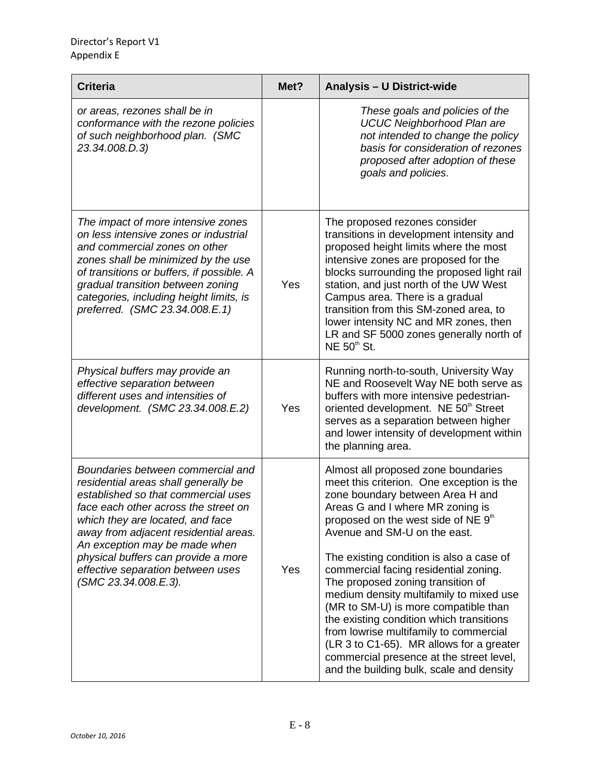| <b>Criteria</b>                                                                                                                                                                                                                                                                                                                                                            | Met? | Analysis - U District-wide                                                                                                                                                                                                                                                                                                                                                                                                                                                                                                                                                                                                                                                         |
|----------------------------------------------------------------------------------------------------------------------------------------------------------------------------------------------------------------------------------------------------------------------------------------------------------------------------------------------------------------------------|------|------------------------------------------------------------------------------------------------------------------------------------------------------------------------------------------------------------------------------------------------------------------------------------------------------------------------------------------------------------------------------------------------------------------------------------------------------------------------------------------------------------------------------------------------------------------------------------------------------------------------------------------------------------------------------------|
| or areas, rezones shall be in<br>conformance with the rezone policies<br>of such neighborhood plan. (SMC<br>23.34.008.D.3)                                                                                                                                                                                                                                                 |      | These goals and policies of the<br><b>UCUC Neighborhood Plan are</b><br>not intended to change the policy<br>basis for consideration of rezones<br>proposed after adoption of these<br>goals and policies.                                                                                                                                                                                                                                                                                                                                                                                                                                                                         |
| The impact of more intensive zones<br>on less intensive zones or industrial<br>and commercial zones on other<br>zones shall be minimized by the use<br>of transitions or buffers, if possible. A<br>gradual transition between zoning<br>categories, including height limits, is<br>preferred. (SMC 23.34.008.E.1)                                                         | Yes  | The proposed rezones consider<br>transitions in development intensity and<br>proposed height limits where the most<br>intensive zones are proposed for the<br>blocks surrounding the proposed light rail<br>station, and just north of the UW West<br>Campus area. There is a gradual<br>transition from this SM-zoned area, to<br>lower intensity NC and MR zones, then<br>LR and SF 5000 zones generally north of<br>NE 50 <sup>th</sup> St.                                                                                                                                                                                                                                     |
| Physical buffers may provide an<br>effective separation between<br>different uses and intensities of<br>development. (SMC 23.34.008.E.2)                                                                                                                                                                                                                                   | Yes  | Running north-to-south, University Way<br>NE and Roosevelt Way NE both serve as<br>buffers with more intensive pedestrian-<br>oriented development. NE 50 <sup>th</sup> Street<br>serves as a separation between higher<br>and lower intensity of development within<br>the planning area.                                                                                                                                                                                                                                                                                                                                                                                         |
| Boundaries between commercial and<br>residential areas shall generally be<br>established so that commercial uses<br>face each other across the street on<br>which they are located, and face<br>away from adjacent residential areas.<br>An exception may be made when<br>physical buffers can provide a more<br>effective separation between uses<br>(SMC 23.34.008.E.3). | Yes  | Almost all proposed zone boundaries<br>meet this criterion. One exception is the<br>zone boundary between Area H and<br>Areas G and I where MR zoning is<br>proposed on the west side of NE 9 <sup>th</sup><br>Avenue and SM-U on the east.<br>The existing condition is also a case of<br>commercial facing residential zoning.<br>The proposed zoning transition of<br>medium density multifamily to mixed use<br>(MR to SM-U) is more compatible than<br>the existing condition which transitions<br>from lowrise multifamily to commercial<br>(LR 3 to C1-65). MR allows for a greater<br>commercial presence at the street level,<br>and the building bulk, scale and density |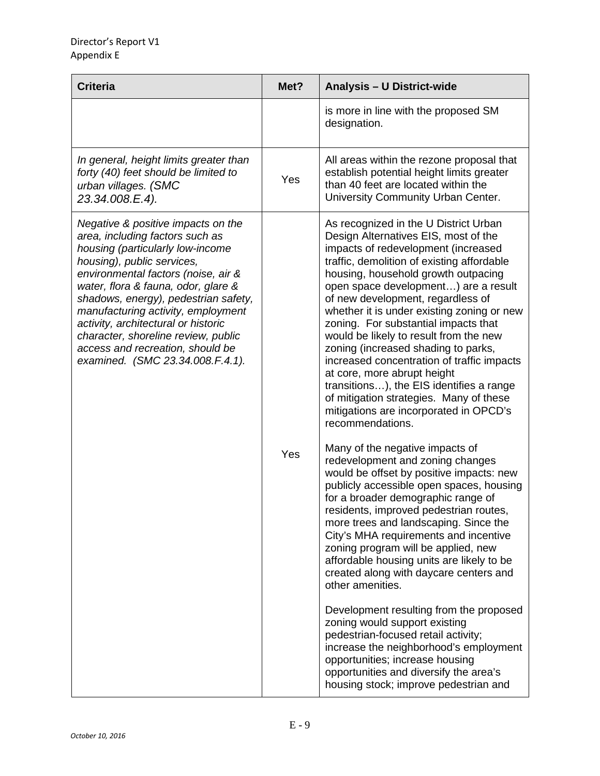| <b>Criteria</b>                                                                                                                                                                                                                                                                                                                                                                                                                                           | Met? | <b>Analysis - U District-wide</b>                                                                                                                                                                                                                                                                                                                                                                                                                                                                                                                                                                                                                                                                                                                                                                                                                                                                                                                                                                                                                                                                                                                                                                                                                                                                                                                                                                                                                                     |
|-----------------------------------------------------------------------------------------------------------------------------------------------------------------------------------------------------------------------------------------------------------------------------------------------------------------------------------------------------------------------------------------------------------------------------------------------------------|------|-----------------------------------------------------------------------------------------------------------------------------------------------------------------------------------------------------------------------------------------------------------------------------------------------------------------------------------------------------------------------------------------------------------------------------------------------------------------------------------------------------------------------------------------------------------------------------------------------------------------------------------------------------------------------------------------------------------------------------------------------------------------------------------------------------------------------------------------------------------------------------------------------------------------------------------------------------------------------------------------------------------------------------------------------------------------------------------------------------------------------------------------------------------------------------------------------------------------------------------------------------------------------------------------------------------------------------------------------------------------------------------------------------------------------------------------------------------------------|
|                                                                                                                                                                                                                                                                                                                                                                                                                                                           |      | is more in line with the proposed SM<br>designation.                                                                                                                                                                                                                                                                                                                                                                                                                                                                                                                                                                                                                                                                                                                                                                                                                                                                                                                                                                                                                                                                                                                                                                                                                                                                                                                                                                                                                  |
| In general, height limits greater than<br>forty (40) feet should be limited to<br>urban villages. (SMC<br>23.34.008.E.4).                                                                                                                                                                                                                                                                                                                                 | Yes  | All areas within the rezone proposal that<br>establish potential height limits greater<br>than 40 feet are located within the<br>University Community Urban Center.                                                                                                                                                                                                                                                                                                                                                                                                                                                                                                                                                                                                                                                                                                                                                                                                                                                                                                                                                                                                                                                                                                                                                                                                                                                                                                   |
| Negative & positive impacts on the<br>area, including factors such as<br>housing (particularly low-income<br>housing), public services,<br>environmental factors (noise, air &<br>water, flora & fauna, odor, glare &<br>shadows, energy), pedestrian safety,<br>manufacturing activity, employment<br>activity, architectural or historic<br>character, shoreline review, public<br>access and recreation, should be<br>examined. (SMC 23.34.008.F.4.1). | Yes  | As recognized in the U District Urban<br>Design Alternatives EIS, most of the<br>impacts of redevelopment (increased<br>traffic, demolition of existing affordable<br>housing, household growth outpacing<br>open space development) are a result<br>of new development, regardless of<br>whether it is under existing zoning or new<br>zoning. For substantial impacts that<br>would be likely to result from the new<br>zoning (increased shading to parks,<br>increased concentration of traffic impacts<br>at core, more abrupt height<br>transitions), the EIS identifies a range<br>of mitigation strategies. Many of these<br>mitigations are incorporated in OPCD's<br>recommendations.<br>Many of the negative impacts of<br>redevelopment and zoning changes<br>would be offset by positive impacts: new<br>publicly accessible open spaces, housing<br>for a broader demographic range of<br>residents, improved pedestrian routes,<br>more trees and landscaping. Since the<br>City's MHA requirements and incentive<br>zoning program will be applied, new<br>affordable housing units are likely to be<br>created along with daycare centers and<br>other amenities.<br>Development resulting from the proposed<br>zoning would support existing<br>pedestrian-focused retail activity;<br>increase the neighborhood's employment<br>opportunities; increase housing<br>opportunities and diversify the area's<br>housing stock; improve pedestrian and |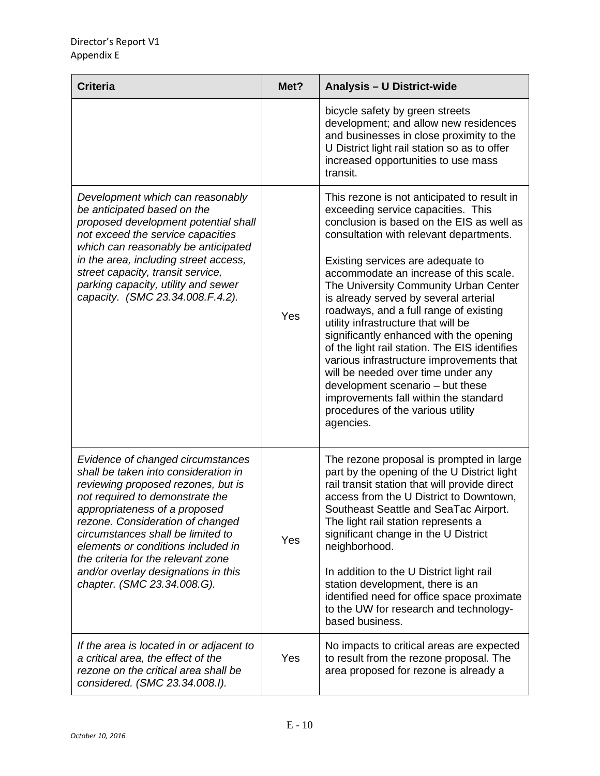| <b>Criteria</b>                                                                                                                                                                                                                                                                                                                                                                                                | Met? | Analysis - U District-wide                                                                                                                                                                                                                                                                                                                                                                                                                                                                                                                                                                                                                                                                                                               |
|----------------------------------------------------------------------------------------------------------------------------------------------------------------------------------------------------------------------------------------------------------------------------------------------------------------------------------------------------------------------------------------------------------------|------|------------------------------------------------------------------------------------------------------------------------------------------------------------------------------------------------------------------------------------------------------------------------------------------------------------------------------------------------------------------------------------------------------------------------------------------------------------------------------------------------------------------------------------------------------------------------------------------------------------------------------------------------------------------------------------------------------------------------------------------|
|                                                                                                                                                                                                                                                                                                                                                                                                                |      | bicycle safety by green streets<br>development; and allow new residences<br>and businesses in close proximity to the<br>U District light rail station so as to offer<br>increased opportunities to use mass<br>transit.                                                                                                                                                                                                                                                                                                                                                                                                                                                                                                                  |
| Development which can reasonably<br>be anticipated based on the<br>proposed development potential shall<br>not exceed the service capacities<br>which can reasonably be anticipated<br>in the area, including street access,<br>street capacity, transit service,<br>parking capacity, utility and sewer<br>capacity. (SMC 23.34.008.F.4.2).                                                                   | Yes  | This rezone is not anticipated to result in<br>exceeding service capacities. This<br>conclusion is based on the EIS as well as<br>consultation with relevant departments.<br>Existing services are adequate to<br>accommodate an increase of this scale.<br>The University Community Urban Center<br>is already served by several arterial<br>roadways, and a full range of existing<br>utility infrastructure that will be<br>significantly enhanced with the opening<br>of the light rail station. The EIS identifies<br>various infrastructure improvements that<br>will be needed over time under any<br>development scenario - but these<br>improvements fall within the standard<br>procedures of the various utility<br>agencies. |
| Evidence of changed circumstances<br>shall be taken into consideration in<br>reviewing proposed rezones, but is<br>not required to demonstrate the<br>appropriateness of a proposed<br>rezone. Consideration of changed<br>circumstances shall be limited to<br>elements or conditions included in<br>the criteria for the relevant zone<br>and/or overlay designations in this<br>chapter. (SMC 23.34.008.G). | Yes  | The rezone proposal is prompted in large<br>part by the opening of the U District light<br>rail transit station that will provide direct<br>access from the U District to Downtown,<br>Southeast Seattle and SeaTac Airport.<br>The light rail station represents a<br>significant change in the U District<br>neighborhood.<br>In addition to the U District light rail<br>station development, there is an<br>identified need for office space proximate<br>to the UW for research and technology-<br>based business.                                                                                                                                                                                                                  |
| If the area is located in or adjacent to<br>a critical area, the effect of the<br>rezone on the critical area shall be<br>considered. (SMC 23.34.008.I).                                                                                                                                                                                                                                                       | Yes  | No impacts to critical areas are expected<br>to result from the rezone proposal. The<br>area proposed for rezone is already a                                                                                                                                                                                                                                                                                                                                                                                                                                                                                                                                                                                                            |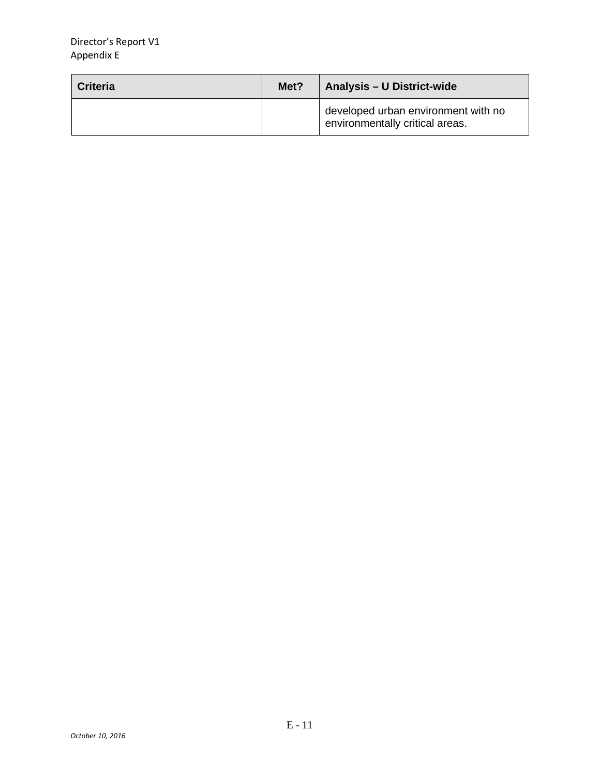| <b>Criteria</b> | Met? | <b>Analysis - U District-wide</b>                                      |
|-----------------|------|------------------------------------------------------------------------|
|                 |      | developed urban environment with no<br>environmentally critical areas. |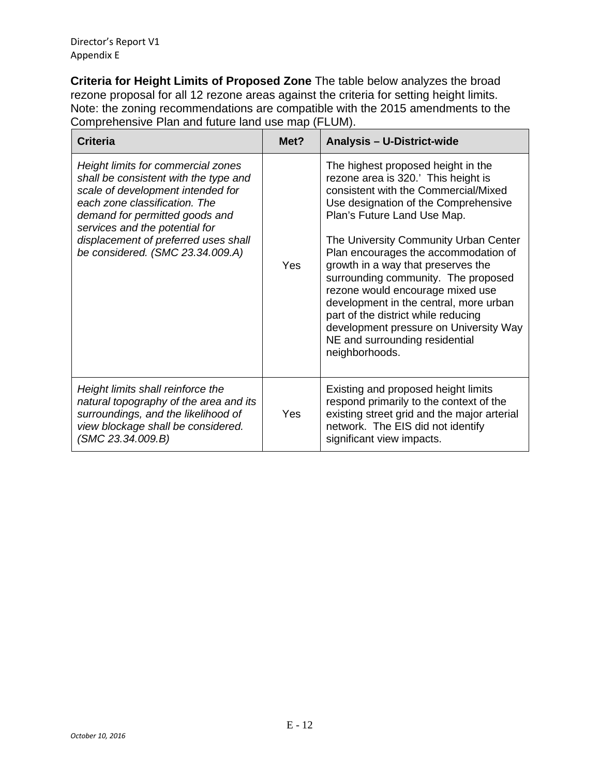**Criteria for Height Limits of Proposed Zone** The table below analyzes the broad rezone proposal for all 12 rezone areas against the criteria for setting height limits. Note: the zoning recommendations are compatible with the 2015 amendments to the Comprehensive Plan and future land use map (FLUM).

| <b>Criteria</b>                                                                                                                                                                                                                                                                                   | Met? | Analysis - U-District-wide                                                                                                                                                                                                                                                                                                                                                                                                                                                                                                                                                |
|---------------------------------------------------------------------------------------------------------------------------------------------------------------------------------------------------------------------------------------------------------------------------------------------------|------|---------------------------------------------------------------------------------------------------------------------------------------------------------------------------------------------------------------------------------------------------------------------------------------------------------------------------------------------------------------------------------------------------------------------------------------------------------------------------------------------------------------------------------------------------------------------------|
| Height limits for commercial zones<br>shall be consistent with the type and<br>scale of development intended for<br>each zone classification. The<br>demand for permitted goods and<br>services and the potential for<br>displacement of preferred uses shall<br>be considered. (SMC 23.34.009.A) | Yes  | The highest proposed height in the<br>rezone area is 320.' This height is<br>consistent with the Commercial/Mixed<br>Use designation of the Comprehensive<br>Plan's Future Land Use Map.<br>The University Community Urban Center<br>Plan encourages the accommodation of<br>growth in a way that preserves the<br>surrounding community. The proposed<br>rezone would encourage mixed use<br>development in the central, more urban<br>part of the district while reducing<br>development pressure on University Way<br>NE and surrounding residential<br>neighborhoods. |
| Height limits shall reinforce the<br>natural topography of the area and its<br>surroundings, and the likelihood of<br>view blockage shall be considered.<br>(SMC 23.34.009.B)                                                                                                                     | Yes  | Existing and proposed height limits<br>respond primarily to the context of the<br>existing street grid and the major arterial<br>network. The EIS did not identify<br>significant view impacts.                                                                                                                                                                                                                                                                                                                                                                           |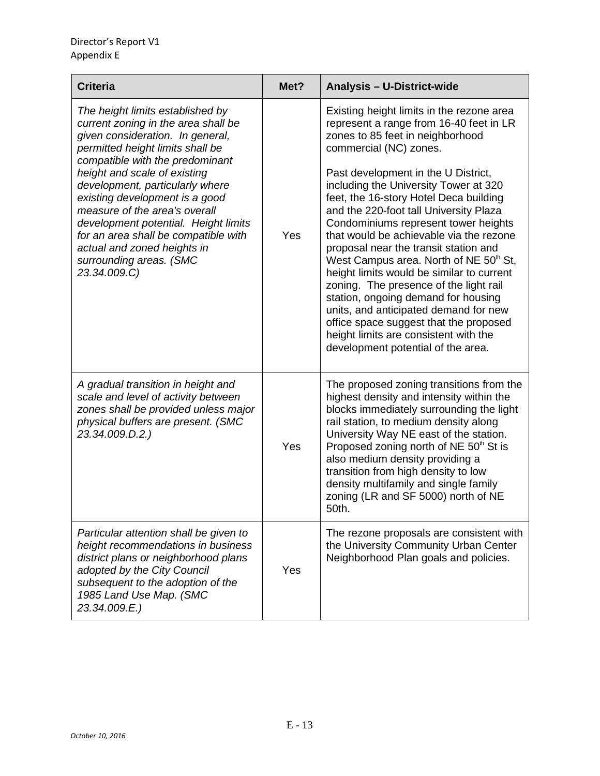| <b>Criteria</b>                                                                                                                                                                                                                                                                                                                                                                                                                                                                    | Met? | <b>Analysis - U-District-wide</b>                                                                                                                                                                                                                                                                                                                                                                                                                                                                                                                                                                                                                                                                                                                                                                        |
|------------------------------------------------------------------------------------------------------------------------------------------------------------------------------------------------------------------------------------------------------------------------------------------------------------------------------------------------------------------------------------------------------------------------------------------------------------------------------------|------|----------------------------------------------------------------------------------------------------------------------------------------------------------------------------------------------------------------------------------------------------------------------------------------------------------------------------------------------------------------------------------------------------------------------------------------------------------------------------------------------------------------------------------------------------------------------------------------------------------------------------------------------------------------------------------------------------------------------------------------------------------------------------------------------------------|
| The height limits established by<br>current zoning in the area shall be<br>given consideration. In general,<br>permitted height limits shall be<br>compatible with the predominant<br>height and scale of existing<br>development, particularly where<br>existing development is a good<br>measure of the area's overall<br>development potential. Height limits<br>for an area shall be compatible with<br>actual and zoned heights in<br>surrounding areas. (SMC<br>23.34.009.C) | Yes  | Existing height limits in the rezone area<br>represent a range from 16-40 feet in LR<br>zones to 85 feet in neighborhood<br>commercial (NC) zones.<br>Past development in the U District,<br>including the University Tower at 320<br>feet, the 16-story Hotel Deca building<br>and the 220-foot tall University Plaza<br>Condominiums represent tower heights<br>that would be achievable via the rezone<br>proposal near the transit station and<br>West Campus area. North of NE 50 <sup>th</sup> St,<br>height limits would be similar to current<br>zoning. The presence of the light rail<br>station, ongoing demand for housing<br>units, and anticipated demand for new<br>office space suggest that the proposed<br>height limits are consistent with the<br>development potential of the area. |
| A gradual transition in height and<br>scale and level of activity between<br>zones shall be provided unless major<br>physical buffers are present. (SMC<br>23.34.009.D.2.)                                                                                                                                                                                                                                                                                                         | Yes  | The proposed zoning transitions from the<br>highest density and intensity within the<br>blocks immediately surrounding the light<br>rail station, to medium density along<br>University Way NE east of the station.<br>Proposed zoning north of NE 50 <sup>th</sup> St is<br>also medium density providing a<br>transition from high density to low<br>density multifamily and single family<br>zoning (LR and SF 5000) north of NE<br>50th.                                                                                                                                                                                                                                                                                                                                                             |
| Particular attention shall be given to<br>height recommendations in business<br>district plans or neighborhood plans<br>adopted by the City Council<br>subsequent to the adoption of the<br>1985 Land Use Map. (SMC<br>23.34.009.E.)                                                                                                                                                                                                                                               | Yes  | The rezone proposals are consistent with<br>the University Community Urban Center<br>Neighborhood Plan goals and policies.                                                                                                                                                                                                                                                                                                                                                                                                                                                                                                                                                                                                                                                                               |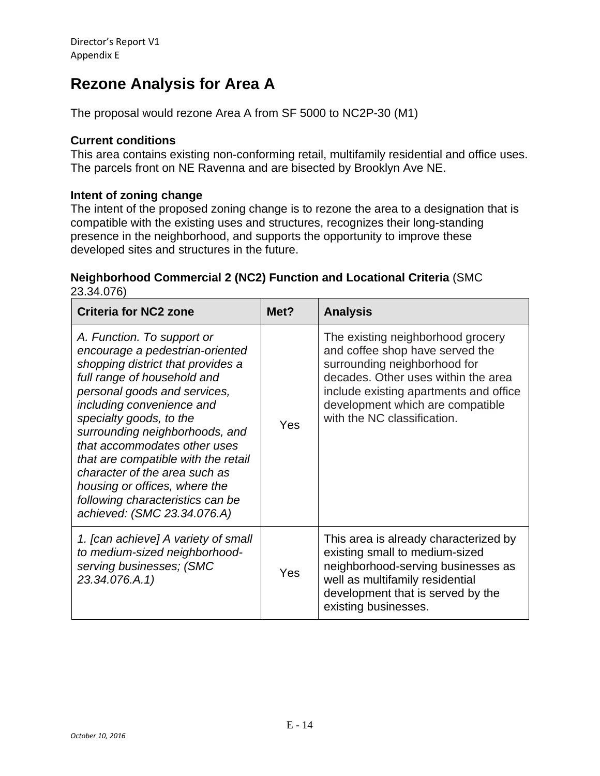# **Rezone Analysis for Area A**

The proposal would rezone Area A from SF 5000 to NC2P-30 (M1)

### **Current conditions**

This area contains existing non-conforming retail, multifamily residential and office uses. The parcels front on NE Ravenna and are bisected by Brooklyn Ave NE.

### **Intent of zoning change**

The intent of the proposed zoning change is to rezone the area to a designation that is compatible with the existing uses and structures, recognizes their long-standing presence in the neighborhood, and supports the opportunity to improve these developed sites and structures in the future.

### **Neighborhood Commercial 2 (NC2) Function and Locational Criteria** (SMC 23.34.076)

| <b>Criteria for NC2 zone</b>                                                                                                                                                                                                                                                                                                                                                                                                                                            | Met? | <b>Analysis</b>                                                                                                                                                                                                                                          |
|-------------------------------------------------------------------------------------------------------------------------------------------------------------------------------------------------------------------------------------------------------------------------------------------------------------------------------------------------------------------------------------------------------------------------------------------------------------------------|------|----------------------------------------------------------------------------------------------------------------------------------------------------------------------------------------------------------------------------------------------------------|
| A. Function. To support or<br>encourage a pedestrian-oriented<br>shopping district that provides a<br>full range of household and<br>personal goods and services,<br>including convenience and<br>specialty goods, to the<br>surrounding neighborhoods, and<br>that accommodates other uses<br>that are compatible with the retail<br>character of the area such as<br>housing or offices, where the<br>following characteristics can be<br>achieved: (SMC 23.34.076.A) | Yes  | The existing neighborhood grocery<br>and coffee shop have served the<br>surrounding neighborhood for<br>decades. Other uses within the area<br>include existing apartments and office<br>development which are compatible<br>with the NC classification. |
| 1. [can achieve] A variety of small<br>to medium-sized neighborhood-<br>serving businesses; (SMC<br>23.34.076.A.1)                                                                                                                                                                                                                                                                                                                                                      | Yes  | This area is already characterized by<br>existing small to medium-sized<br>neighborhood-serving businesses as<br>well as multifamily residential<br>development that is served by the<br>existing businesses.                                            |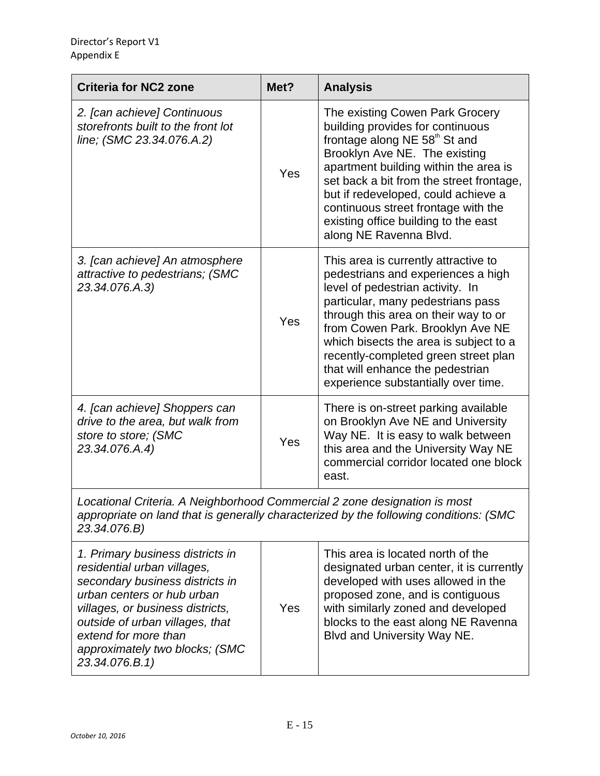| <b>Criteria for NC2 zone</b>                                                                                                                                                       | Met? | <b>Analysis</b>                                                                                                                                                                                                                                                                                                                                                                              |
|------------------------------------------------------------------------------------------------------------------------------------------------------------------------------------|------|----------------------------------------------------------------------------------------------------------------------------------------------------------------------------------------------------------------------------------------------------------------------------------------------------------------------------------------------------------------------------------------------|
| 2. [can achieve] Continuous<br>storefronts built to the front lot<br>line; (SMC 23.34.076.A.2)                                                                                     | Yes  | The existing Cowen Park Grocery<br>building provides for continuous<br>frontage along NE 58th St and<br>Brooklyn Ave NE. The existing<br>apartment building within the area is<br>set back a bit from the street frontage,<br>but if redeveloped, could achieve a<br>continuous street frontage with the<br>existing office building to the east<br>along NE Ravenna Blvd.                   |
| 3. [can achieve] An atmosphere<br>attractive to pedestrians; (SMC<br>23.34.076.A.3)                                                                                                | Yes  | This area is currently attractive to<br>pedestrians and experiences a high<br>level of pedestrian activity. In<br>particular, many pedestrians pass<br>through this area on their way to or<br>from Cowen Park. Brooklyn Ave NE<br>which bisects the area is subject to a<br>recently-completed green street plan<br>that will enhance the pedestrian<br>experience substantially over time. |
| 4. [can achieve] Shoppers can<br>drive to the area, but walk from<br>store to store; (SMC<br>23.34.076.A.4)                                                                        | Yes  | There is on-street parking available<br>on Brooklyn Ave NE and University<br>Way NE. It is easy to walk between<br>this area and the University Way NE<br>commercial corridor located one block<br>east.                                                                                                                                                                                     |
| Locational Criteria. A Neighborhood Commercial 2 zone designation is most<br>appropriate on land that is generally characterized by the following conditions: (SMC<br>23.34.076.B) |      |                                                                                                                                                                                                                                                                                                                                                                                              |
| 1. Primary business districts in<br>residential urban villages,<br>secondary business districts in<br>urban centers or hub urban<br>villages, or business districts,               | Yes  | This area is located north of the<br>designated urban center, it is currently<br>developed with uses allowed in the<br>proposed zone, and is contiguous<br>with similarly zoned and developed                                                                                                                                                                                                |

*outside of urban villages, that* 

*approximately two blocks; (SMC* 

*extend for more than* 

*23.34.076.B.1)*

blocks to the east along NE Ravenna

Blvd and University Way NE.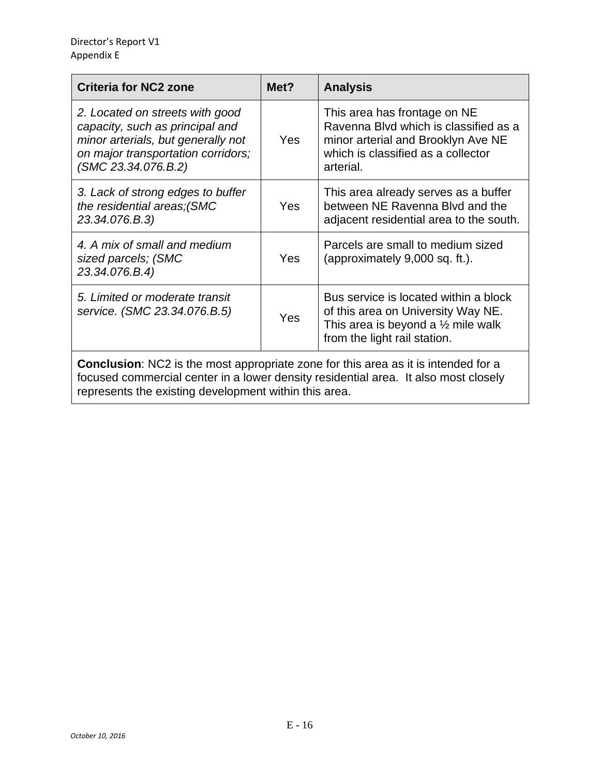| <b>Criteria for NC2 zone</b>                                                                                                                                             | Met?       | <b>Analysis</b>                                                                                                                                                |
|--------------------------------------------------------------------------------------------------------------------------------------------------------------------------|------------|----------------------------------------------------------------------------------------------------------------------------------------------------------------|
| 2. Located on streets with good<br>capacity, such as principal and<br>minor arterials, but generally not<br>on major transportation corridors;<br>(SMC 23.34.076.B.2)    | Yes        | This area has frontage on NE<br>Ravenna Blvd which is classified as a<br>minor arterial and Brooklyn Ave NE<br>which is classified as a collector<br>arterial. |
| 3. Lack of strong edges to buffer<br>the residential areas; (SMC<br>23.34.076.B.3)                                                                                       | <b>Yes</b> | This area already serves as a buffer<br>between NE Ravenna Blvd and the<br>adjacent residential area to the south.                                             |
| 4. A mix of small and medium<br>sized parcels; (SMC<br>23.34.076.B.4)                                                                                                    | Yes        | Parcels are small to medium sized<br>(approximately 9,000 sq. ft.).                                                                                            |
| 5. Limited or moderate transit<br>service. (SMC 23.34.076.B.5)                                                                                                           | Yes        | Bus service is located within a block<br>of this area on University Way NE.<br>This area is beyond a $\frac{1}{2}$ mile walk<br>from the light rail station.   |
| <b>Conclusion:</b> NC2 is the most appropriate zone for this area as it is intended for a<br>وساحلها والمستحين المائية والمادون وينازع ورمان والمروري والمراجع والماروري |            |                                                                                                                                                                |

focused commercial center in a lower density residential area. It also most closely represents the existing development within this area.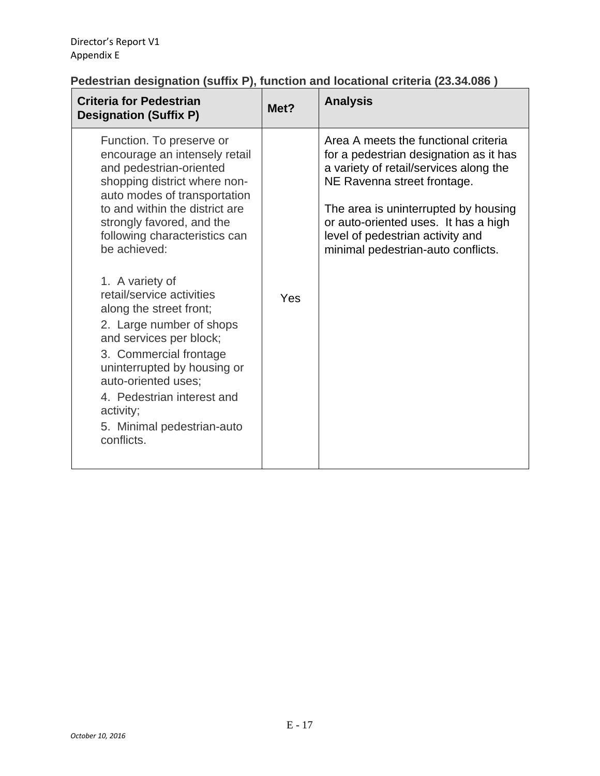# **Pedestrian designation (suffix P), function and locational criteria (23.34.086 )**

| <b>Criteria for Pedestrian</b><br><b>Designation (Suffix P)</b>                                                                                                                                                                                                                                                                                                                                                                                                                                                                                                               | Met? | <b>Analysis</b>                                                                                                                                                                                                                                                                                                   |
|-------------------------------------------------------------------------------------------------------------------------------------------------------------------------------------------------------------------------------------------------------------------------------------------------------------------------------------------------------------------------------------------------------------------------------------------------------------------------------------------------------------------------------------------------------------------------------|------|-------------------------------------------------------------------------------------------------------------------------------------------------------------------------------------------------------------------------------------------------------------------------------------------------------------------|
| Function. To preserve or<br>encourage an intensely retail<br>and pedestrian-oriented<br>shopping district where non-<br>auto modes of transportation<br>to and within the district are<br>strongly favored, and the<br>following characteristics can<br>be achieved:<br>1. A variety of<br>retail/service activities<br>along the street front;<br>2. Large number of shops<br>and services per block;<br>3. Commercial frontage<br>uninterrupted by housing or<br>auto-oriented uses;<br>4. Pedestrian interest and<br>activity;<br>5. Minimal pedestrian-auto<br>conflicts. | Yes  | Area A meets the functional criteria<br>for a pedestrian designation as it has<br>a variety of retail/services along the<br>NE Ravenna street frontage.<br>The area is uninterrupted by housing<br>or auto-oriented uses. It has a high<br>level of pedestrian activity and<br>minimal pedestrian-auto conflicts. |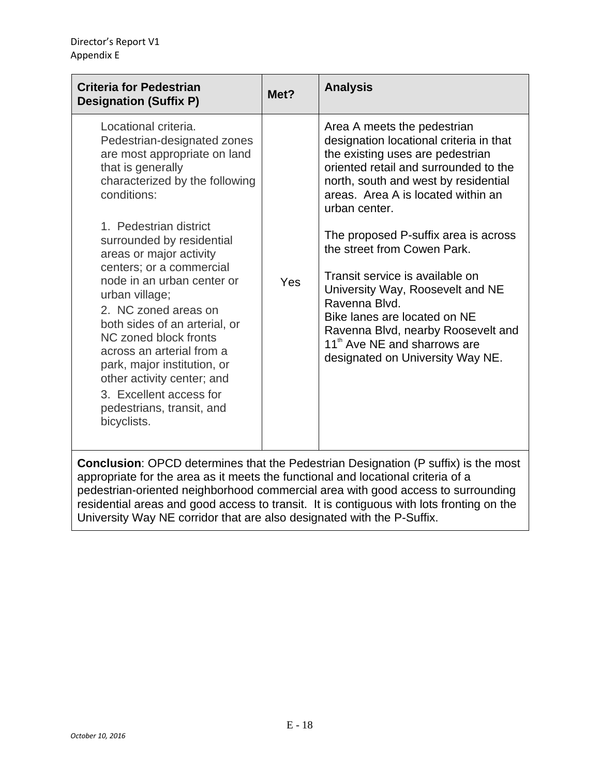| <b>Criteria for Pedestrian</b><br><b>Designation (Suffix P)</b>                                                                                                                                                                                                                                                                                                                                               | Met? | <b>Analysis</b>                                                                                                                                                                                                                                                                                                   |
|---------------------------------------------------------------------------------------------------------------------------------------------------------------------------------------------------------------------------------------------------------------------------------------------------------------------------------------------------------------------------------------------------------------|------|-------------------------------------------------------------------------------------------------------------------------------------------------------------------------------------------------------------------------------------------------------------------------------------------------------------------|
| Locational criteria.<br>Pedestrian-designated zones<br>are most appropriate on land<br>that is generally<br>characterized by the following<br>conditions:                                                                                                                                                                                                                                                     |      | Area A meets the pedestrian<br>designation locational criteria in that<br>the existing uses are pedestrian<br>oriented retail and surrounded to the<br>north, south and west by residential<br>areas. Area A is located within an<br>urban center.                                                                |
| 1. Pedestrian district<br>surrounded by residential<br>areas or major activity<br>centers; or a commercial<br>node in an urban center or<br>urban village;<br>2. NC zoned areas on<br>both sides of an arterial, or<br>NC zoned block fronts<br>across an arterial from a<br>park, major institution, or<br>other activity center; and<br>3. Excellent access for<br>pedestrians, transit, and<br>bicyclists. | Yes  | The proposed P-suffix area is across<br>the street from Cowen Park.<br>Transit service is available on<br>University Way, Roosevelt and NE<br>Ravenna Blvd.<br>Bike lanes are located on NE<br>Ravenna Blvd, nearby Roosevelt and<br>11 <sup>th</sup> Ave NE and sharrows are<br>designated on University Way NE. |
| <b>Conclusion:</b> OPCD determines that the Pedestrian Designation (P suffix) is the most<br>contropriate fer the eres es it meets the functional and legational eritaria of a                                                                                                                                                                                                                                |      |                                                                                                                                                                                                                                                                                                                   |

appropriate for the area as it meets the functional and locational criteria of a pedestrian-oriented neighborhood commercial area with good access to surrounding residential areas and good access to transit. It is contiguous with lots fronting on the University Way NE corridor that are also designated with the P-Suffix.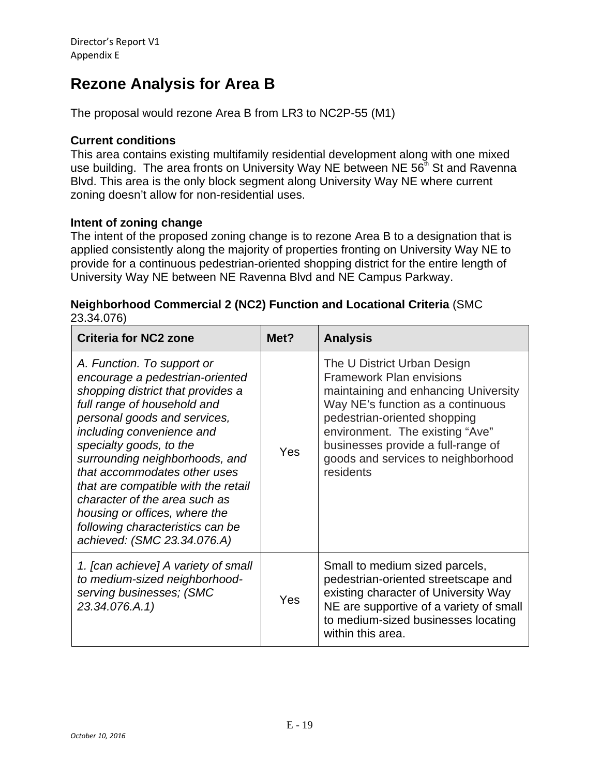# **Rezone Analysis for Area B**

The proposal would rezone Area B from LR3 to NC2P-55 (M1)

### **Current conditions**

This area contains existing multifamily residential development along with one mixed use building. The area fronts on University Way NE between NE 56<sup>th</sup> St and Ravenna Blvd. This area is the only block segment along University Way NE where current zoning doesn't allow for non-residential uses.

## **Intent of zoning change**

The intent of the proposed zoning change is to rezone Area B to a designation that is applied consistently along the majority of properties fronting on University Way NE to provide for a continuous pedestrian-oriented shopping district for the entire length of University Way NE between NE Ravenna Blvd and NE Campus Parkway.

#### **Neighborhood Commercial 2 (NC2) Function and Locational Criteria** (SMC 23.34.076)

| <b>Criteria for NC2 zone</b>                                                                                                                                                                                                                                                                                                                                                                                                                                            | Met? | <b>Analysis</b>                                                                                                                                                                                                                                                                                         |
|-------------------------------------------------------------------------------------------------------------------------------------------------------------------------------------------------------------------------------------------------------------------------------------------------------------------------------------------------------------------------------------------------------------------------------------------------------------------------|------|---------------------------------------------------------------------------------------------------------------------------------------------------------------------------------------------------------------------------------------------------------------------------------------------------------|
| A. Function. To support or<br>encourage a pedestrian-oriented<br>shopping district that provides a<br>full range of household and<br>personal goods and services,<br>including convenience and<br>specialty goods, to the<br>surrounding neighborhoods, and<br>that accommodates other uses<br>that are compatible with the retail<br>character of the area such as<br>housing or offices, where the<br>following characteristics can be<br>achieved: (SMC 23.34.076.A) | Yes  | The U District Urban Design<br><b>Framework Plan envisions</b><br>maintaining and enhancing University<br>Way NE's function as a continuous<br>pedestrian-oriented shopping<br>environment. The existing "Ave"<br>businesses provide a full-range of<br>goods and services to neighborhood<br>residents |
| 1. [can achieve] A variety of small<br>to medium-sized neighborhood-<br>serving businesses; (SMC<br>23.34.076.A.1)                                                                                                                                                                                                                                                                                                                                                      | Yes  | Small to medium sized parcels,<br>pedestrian-oriented streetscape and<br>existing character of University Way<br>NE are supportive of a variety of small<br>to medium-sized businesses locating<br>within this area.                                                                                    |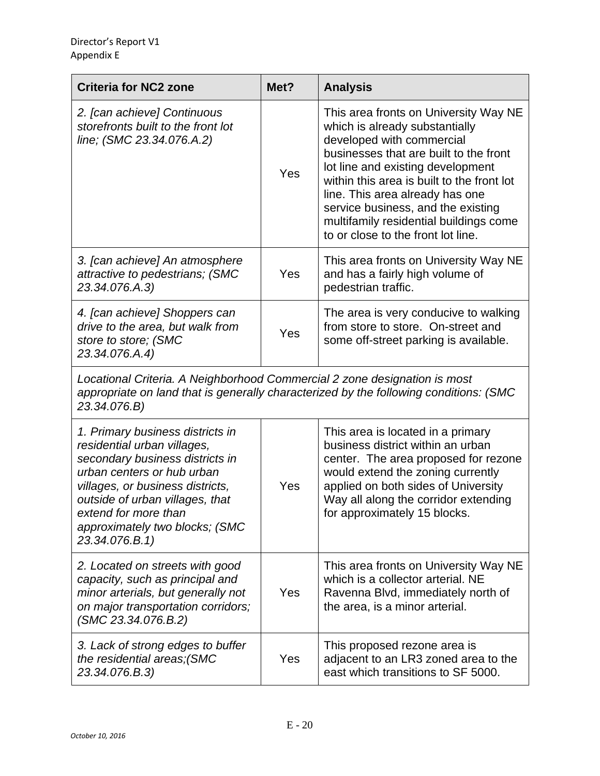| <b>Criteria for NC2 zone</b>                                                                                                                                                                                                                                                        | Met? | <b>Analysis</b>                                                                                                                                                                                                                                                                                                                                                                            |  |
|-------------------------------------------------------------------------------------------------------------------------------------------------------------------------------------------------------------------------------------------------------------------------------------|------|--------------------------------------------------------------------------------------------------------------------------------------------------------------------------------------------------------------------------------------------------------------------------------------------------------------------------------------------------------------------------------------------|--|
| 2. [can achieve] Continuous<br>storefronts built to the front lot<br>line; (SMC 23.34.076.A.2)                                                                                                                                                                                      | Yes  | This area fronts on University Way NE<br>which is already substantially<br>developed with commercial<br>businesses that are built to the front<br>lot line and existing development<br>within this area is built to the front lot<br>line. This area already has one<br>service business, and the existing<br>multifamily residential buildings come<br>to or close to the front lot line. |  |
| 3. [can achieve] An atmosphere<br>attractive to pedestrians; (SMC<br>23.34.076.A.3)                                                                                                                                                                                                 | Yes  | This area fronts on University Way NE<br>and has a fairly high volume of<br>pedestrian traffic.                                                                                                                                                                                                                                                                                            |  |
| 4. [can achieve] Shoppers can<br>drive to the area, but walk from<br>store to store; (SMC<br>23.34.076.A.4)                                                                                                                                                                         | Yes  | The area is very conducive to walking<br>from store to store. On-street and<br>some off-street parking is available.                                                                                                                                                                                                                                                                       |  |
| Locational Criteria. A Neighborhood Commercial 2 zone designation is most<br>appropriate on land that is generally characterized by the following conditions: (SMC<br>23.34.076.B)                                                                                                  |      |                                                                                                                                                                                                                                                                                                                                                                                            |  |
| 1. Primary business districts in<br>residential urban villages,<br>secondary business districts in<br>urban centers or hub urban<br>villages, or business districts,<br>outside of urban villages, that<br>extend for more than<br>approximately two blocks; (SMC<br>23.34.076.B.1) | Yes  | This area is located in a primary<br>business district within an urban<br>center. The area proposed for rezone<br>would extend the zoning currently<br>applied on both sides of University<br>Way all along the corridor extending<br>for approximately 15 blocks.                                                                                                                         |  |
| 2. Located on streets with good<br>capacity, such as principal and<br>minor arterials, but generally not<br>on major transportation corridors;<br>(SMC 23.34.076.B.2)                                                                                                               | Yes  | This area fronts on University Way NE<br>which is a collector arterial. NE<br>Ravenna Blvd, immediately north of<br>the area, is a minor arterial.                                                                                                                                                                                                                                         |  |
| 3. Lack of strong edges to buffer<br>the residential areas; (SMC<br>23.34.076.B.3)                                                                                                                                                                                                  | Yes  | This proposed rezone area is<br>adjacent to an LR3 zoned area to the<br>east which transitions to SF 5000.                                                                                                                                                                                                                                                                                 |  |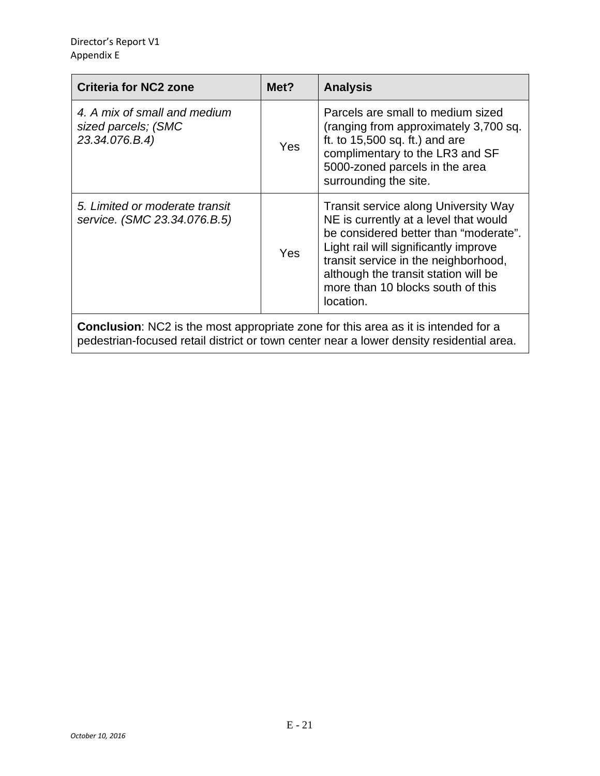| <b>Criteria for NC2 zone</b>                                                                                                                                                          | Met? | <b>Analysis</b>                                                                                                                                                                                                                                                                                          |
|---------------------------------------------------------------------------------------------------------------------------------------------------------------------------------------|------|----------------------------------------------------------------------------------------------------------------------------------------------------------------------------------------------------------------------------------------------------------------------------------------------------------|
| 4. A mix of small and medium<br>sized parcels; (SMC<br>23.34.076.B.4)                                                                                                                 | Yes  | Parcels are small to medium sized<br>(ranging from approximately 3,700 sq.<br>ft. to $15,500$ sq. ft.) and are<br>complimentary to the LR3 and SF<br>5000-zoned parcels in the area<br>surrounding the site.                                                                                             |
| 5. Limited or moderate transit<br>service. (SMC 23.34.076.B.5)                                                                                                                        | Yes  | <b>Transit service along University Way</b><br>NE is currently at a level that would<br>be considered better than "moderate".<br>Light rail will significantly improve<br>transit service in the neighborhood,<br>although the transit station will be<br>more than 10 blocks south of this<br>location. |
| <b>Conclusion:</b> NC2 is the most appropriate zone for this area as it is intended for a<br>pedestrian-focused retail district or town center near a lower density residential area. |      |                                                                                                                                                                                                                                                                                                          |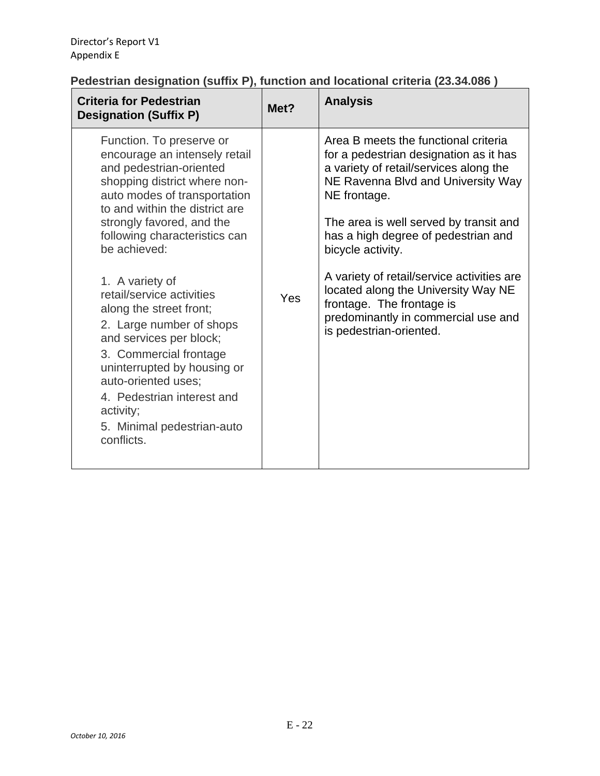# **Pedestrian designation (suffix P), function and locational criteria (23.34.086 )**

| Criteria for Pedestrian<br><b>Designation (Suffix P)</b>                                                                                                                                                                                                                                                                                                                                                                                                                                                                                                                      | Met? | <b>Analysis</b>                                                                                                                                                                                                                                                                                                                                                                                                                                                          |
|-------------------------------------------------------------------------------------------------------------------------------------------------------------------------------------------------------------------------------------------------------------------------------------------------------------------------------------------------------------------------------------------------------------------------------------------------------------------------------------------------------------------------------------------------------------------------------|------|--------------------------------------------------------------------------------------------------------------------------------------------------------------------------------------------------------------------------------------------------------------------------------------------------------------------------------------------------------------------------------------------------------------------------------------------------------------------------|
| Function. To preserve or<br>encourage an intensely retail<br>and pedestrian-oriented<br>shopping district where non-<br>auto modes of transportation<br>to and within the district are<br>strongly favored, and the<br>following characteristics can<br>be achieved:<br>1. A variety of<br>retail/service activities<br>along the street front;<br>2. Large number of shops<br>and services per block;<br>3. Commercial frontage<br>uninterrupted by housing or<br>auto-oriented uses;<br>4. Pedestrian interest and<br>activity;<br>5. Minimal pedestrian-auto<br>conflicts. | Yes  | Area B meets the functional criteria<br>for a pedestrian designation as it has<br>a variety of retail/services along the<br>NE Ravenna Blvd and University Way<br>NE frontage.<br>The area is well served by transit and<br>has a high degree of pedestrian and<br>bicycle activity.<br>A variety of retail/service activities are<br>located along the University Way NE<br>frontage. The frontage is<br>predominantly in commercial use and<br>is pedestrian-oriented. |
|                                                                                                                                                                                                                                                                                                                                                                                                                                                                                                                                                                               |      |                                                                                                                                                                                                                                                                                                                                                                                                                                                                          |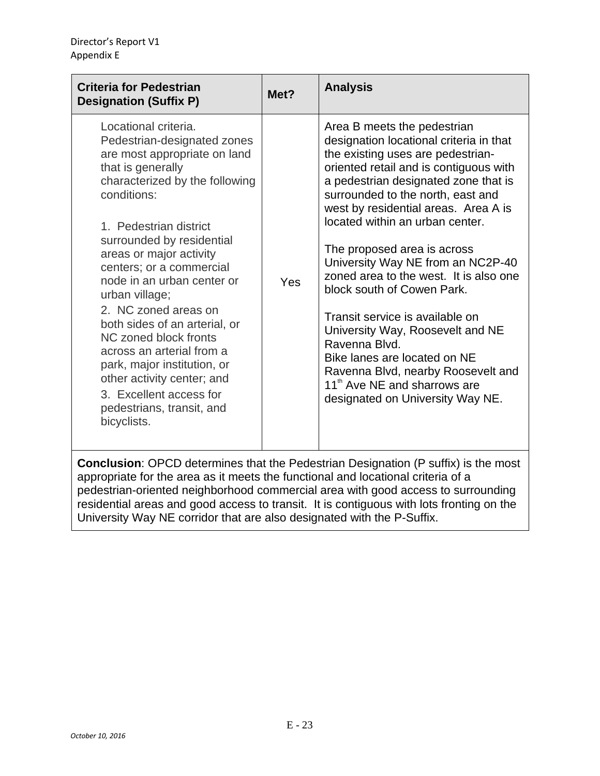| <b>Criteria for Pedestrian</b><br><b>Designation (Suffix P)</b>                                                                                                                                                                                                                                                                                                                                                                                                                                                                                                            | Met? | <b>Analysis</b>                                                                                                                                                                                                                                                                                                                                                                                                                                                                                                                                                                                                                                                                                         |
|----------------------------------------------------------------------------------------------------------------------------------------------------------------------------------------------------------------------------------------------------------------------------------------------------------------------------------------------------------------------------------------------------------------------------------------------------------------------------------------------------------------------------------------------------------------------------|------|---------------------------------------------------------------------------------------------------------------------------------------------------------------------------------------------------------------------------------------------------------------------------------------------------------------------------------------------------------------------------------------------------------------------------------------------------------------------------------------------------------------------------------------------------------------------------------------------------------------------------------------------------------------------------------------------------------|
| Locational criteria.<br>Pedestrian-designated zones<br>are most appropriate on land<br>that is generally<br>characterized by the following<br>conditions:<br>1. Pedestrian district<br>surrounded by residential<br>areas or major activity<br>centers; or a commercial<br>node in an urban center or<br>urban village;<br>2. NC zoned areas on<br>both sides of an arterial, or<br>NC zoned block fronts<br>across an arterial from a<br>park, major institution, or<br>other activity center; and<br>3. Excellent access for<br>pedestrians, transit, and<br>bicyclists. | Yes  | Area B meets the pedestrian<br>designation locational criteria in that<br>the existing uses are pedestrian-<br>oriented retail and is contiguous with<br>a pedestrian designated zone that is<br>surrounded to the north, east and<br>west by residential areas. Area A is<br>located within an urban center.<br>The proposed area is across<br>University Way NE from an NC2P-40<br>zoned area to the west. It is also one<br>block south of Cowen Park.<br>Transit service is available on<br>University Way, Roosevelt and NE<br>Ravenna Blvd.<br>Bike lanes are located on NE<br>Ravenna Blvd, nearby Roosevelt and<br>11 <sup>th</sup> Ave NE and sharrows are<br>designated on University Way NE. |
| <b>Conclusion:</b> OPCD determines that the Pedestrian Designation (P suffix) is the most                                                                                                                                                                                                                                                                                                                                                                                                                                                                                  |      |                                                                                                                                                                                                                                                                                                                                                                                                                                                                                                                                                                                                                                                                                                         |

**Conclusion**: OPCD determines that the Pedestrian Designation (P suffix) is the most appropriate for the area as it meets the functional and locational criteria of a pedestrian-oriented neighborhood commercial area with good access to surrounding residential areas and good access to transit. It is contiguous with lots fronting on the University Way NE corridor that are also designated with the P-Suffix.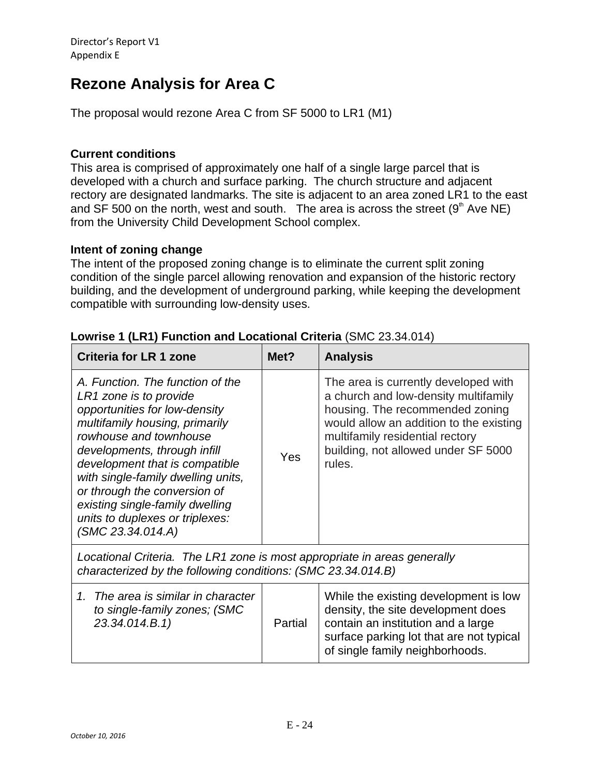# **Rezone Analysis for Area C**

The proposal would rezone Area C from SF 5000 to LR1 (M1)

## **Current conditions**

This area is comprised of approximately one half of a single large parcel that is developed with a church and surface parking. The church structure and adjacent rectory are designated landmarks. The site is adjacent to an area zoned LR1 to the east and SF 500 on the north, west and south. The area is across the street  $(9<sup>th</sup>$  Ave NE) from the University Child Development School complex.

### **Intent of zoning change**

The intent of the proposed zoning change is to eliminate the current split zoning condition of the single parcel allowing renovation and expansion of the historic rectory building, and the development of underground parking, while keeping the development compatible with surrounding low-density uses.

| <b>Criteria for LR 1 zone</b>                                                                                                                                                                                                                                                                                                                                                              | Met?    | <b>Analysis</b>                                                                                                                                                                                                                                |
|--------------------------------------------------------------------------------------------------------------------------------------------------------------------------------------------------------------------------------------------------------------------------------------------------------------------------------------------------------------------------------------------|---------|------------------------------------------------------------------------------------------------------------------------------------------------------------------------------------------------------------------------------------------------|
| A. Function. The function of the<br>LR1 zone is to provide<br>opportunities for low-density<br>multifamily housing, primarily<br>rowhouse and townhouse<br>developments, through infill<br>development that is compatible<br>with single-family dwelling units,<br>or through the conversion of<br>existing single-family dwelling<br>units to duplexes or triplexes:<br>(SMC 23.34.014.A) | Yes     | The area is currently developed with<br>a church and low-density multifamily<br>housing. The recommended zoning<br>would allow an addition to the existing<br>multifamily residential rectory<br>building, not allowed under SF 5000<br>rules. |
| Locational Criteria. The LR1 zone is most appropriate in areas generally<br>characterized by the following conditions: (SMC 23.34.014.B)                                                                                                                                                                                                                                                   |         |                                                                                                                                                                                                                                                |
| The area is similar in character<br>1 <sup>1</sup><br>to single-family zones; (SMC<br>23.34.014.B.1)                                                                                                                                                                                                                                                                                       | Partial | While the existing development is low<br>density, the site development does<br>contain an institution and a large<br>surface parking lot that are not typical<br>of single family neighborhoods.                                               |

### **Lowrise 1 (LR1) Function and Locational Criteria** (SMC 23.34.014)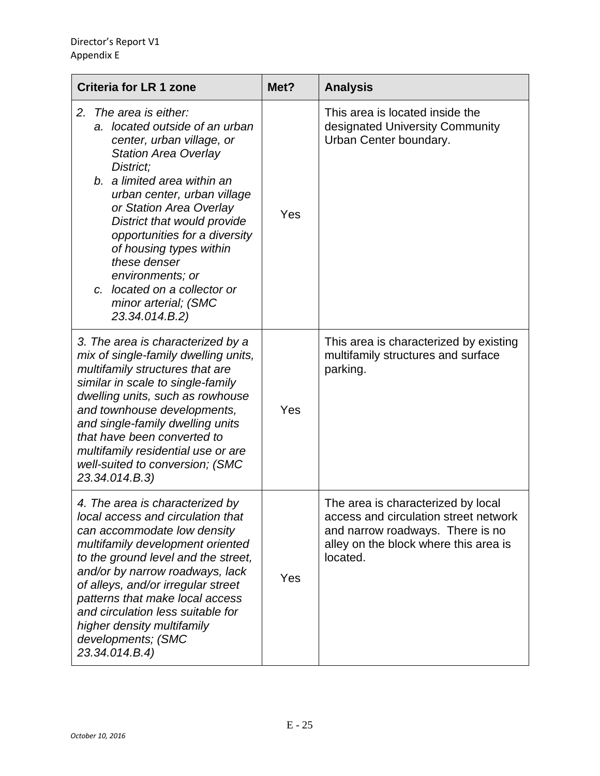| <b>Criteria for LR 1 zone</b>                                                                                                                                                                                                                                                                                                                                                                                                          | Met? | <b>Analysis</b>                                                                                                                                                      |
|----------------------------------------------------------------------------------------------------------------------------------------------------------------------------------------------------------------------------------------------------------------------------------------------------------------------------------------------------------------------------------------------------------------------------------------|------|----------------------------------------------------------------------------------------------------------------------------------------------------------------------|
| The area is either:<br>2.<br>a. located outside of an urban<br>center, urban village, or<br><b>Station Area Overlay</b><br>District;<br>b. a limited area within an<br>urban center, urban village<br>or Station Area Overlay<br>District that would provide<br>opportunities for a diversity<br>of housing types within<br>these denser<br>environments; or<br>c. located on a collector or<br>minor arterial; (SMC<br>23.34.014.B.2) | Yes  | This area is located inside the<br>designated University Community<br>Urban Center boundary.                                                                         |
| 3. The area is characterized by a<br>mix of single-family dwelling units,<br>multifamily structures that are<br>similar in scale to single-family<br>dwelling units, such as rowhouse<br>and townhouse developments,<br>and single-family dwelling units<br>that have been converted to<br>multifamily residential use or are<br>well-suited to conversion; (SMC<br>23.34.014.B.3)                                                     | Yes  | This area is characterized by existing<br>multifamily structures and surface<br>parking.                                                                             |
| 4. The area is characterized by<br>local access and circulation that<br>can accommodate low density<br>multifamily development oriented<br>to the ground level and the street,<br>and/or by narrow roadways, lack<br>of alleys, and/or irregular street<br>patterns that make local access<br>and circulation less suitable for<br>higher density multifamily<br>developments; (SMC<br>23.34.014.B.4)                                  | Yes  | The area is characterized by local<br>access and circulation street network<br>and narrow roadways. There is no<br>alley on the block where this area is<br>located. |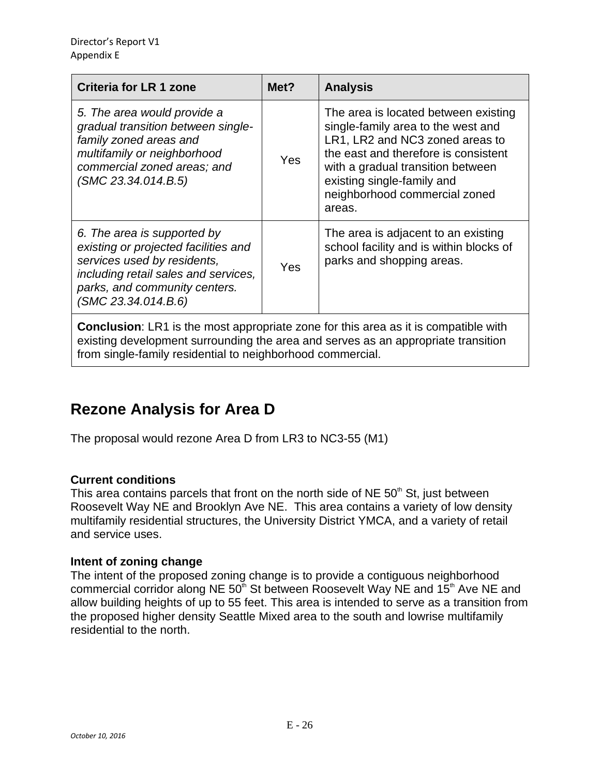| <b>Criteria for LR 1 zone</b>                                                                                                                                                                      | Met? | <b>Analysis</b>                                                                                                                                                                                                                                                     |
|----------------------------------------------------------------------------------------------------------------------------------------------------------------------------------------------------|------|---------------------------------------------------------------------------------------------------------------------------------------------------------------------------------------------------------------------------------------------------------------------|
| 5. The area would provide a<br>gradual transition between single-<br>family zoned areas and<br>multifamily or neighborhood<br>commercial zoned areas; and<br>(SMC 23.34.014.B.5)                   | Yes  | The area is located between existing<br>single-family area to the west and<br>LR1, LR2 and NC3 zoned areas to<br>the east and therefore is consistent<br>with a gradual transition between<br>existing single-family and<br>neighborhood commercial zoned<br>areas. |
| 6. The area is supported by<br>existing or projected facilities and<br>services used by residents,<br>including retail sales and services,<br>parks, and community centers.<br>(SMC 23.34.014.B.6) | Yes  | The area is adjacent to an existing<br>school facility and is within blocks of<br>parks and shopping areas.                                                                                                                                                         |
| <b>Conclusion:</b> LR1 is the most appropriate zone for this area as it is compatible with<br>existing development surrounding the area and serves as an appropriate transition                    |      |                                                                                                                                                                                                                                                                     |

existing development surrounding the area and serves as an appropriate transition from single-family residential to neighborhood commercial.

# **Rezone Analysis for Area D**

The proposal would rezone Area D from LR3 to NC3-55 (M1)

# **Current conditions**

This area contains parcels that front on the north side of NE  $50<sup>th</sup>$  St, just between Roosevelt Way NE and Brooklyn Ave NE. This area contains a variety of low density multifamily residential structures, the University District YMCA, and a variety of retail and service uses.

## **Intent of zoning change**

The intent of the proposed zoning change is to provide a contiguous neighborhood commercial corridor along NE  $50<sup>th</sup>$  St between Roosevelt Way NE and  $15<sup>th</sup>$  Ave NE and allow building heights of up to 55 feet. This area is intended to serve as a transition from the proposed higher density Seattle Mixed area to the south and lowrise multifamily residential to the north.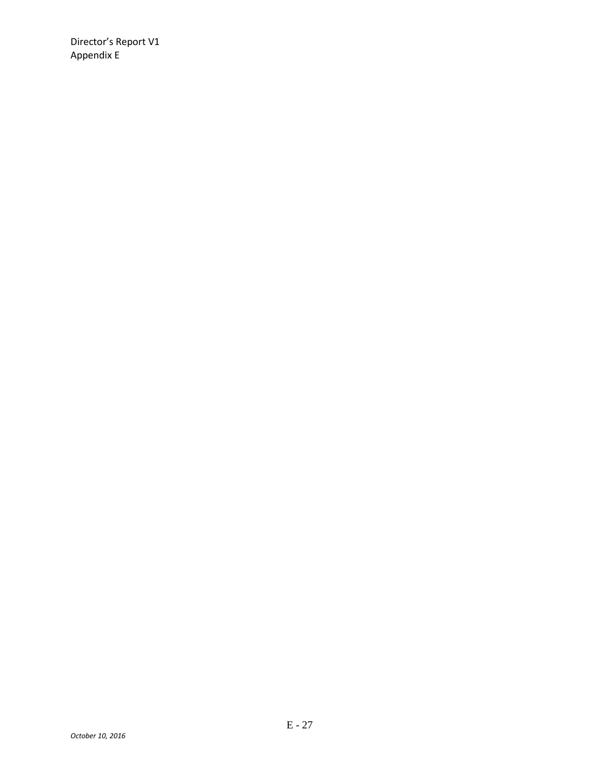Director's Report V1 Appendix E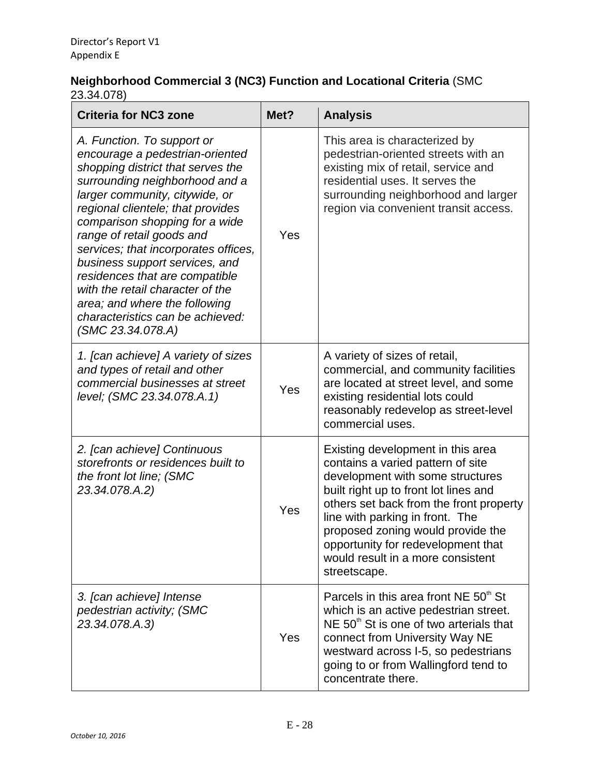# **Neighborhood Commercial 3 (NC3) Function and Locational Criteria** (SMC 23.34.078)

| <b>Criteria for NC3 zone</b>                                                                                                                                                                                                                                                                                                                                                                                                                                                                                         | Met? | <b>Analysis</b>                                                                                                                                                                                                                                                                                                                                                   |
|----------------------------------------------------------------------------------------------------------------------------------------------------------------------------------------------------------------------------------------------------------------------------------------------------------------------------------------------------------------------------------------------------------------------------------------------------------------------------------------------------------------------|------|-------------------------------------------------------------------------------------------------------------------------------------------------------------------------------------------------------------------------------------------------------------------------------------------------------------------------------------------------------------------|
| A. Function. To support or<br>encourage a pedestrian-oriented<br>shopping district that serves the<br>surrounding neighborhood and a<br>larger community, citywide, or<br>regional clientele; that provides<br>comparison shopping for a wide<br>range of retail goods and<br>services; that incorporates offices,<br>business support services, and<br>residences that are compatible<br>with the retail character of the<br>area; and where the following<br>characteristics can be achieved:<br>(SMC 23.34.078.A) | Yes  | This area is characterized by<br>pedestrian-oriented streets with an<br>existing mix of retail, service and<br>residential uses. It serves the<br>surrounding neighborhood and larger<br>region via convenient transit access.                                                                                                                                    |
| 1. [can achieve] A variety of sizes<br>and types of retail and other<br>commercial businesses at street<br>level; (SMC 23.34.078.A.1)                                                                                                                                                                                                                                                                                                                                                                                | Yes  | A variety of sizes of retail,<br>commercial, and community facilities<br>are located at street level, and some<br>existing residential lots could<br>reasonably redevelop as street-level<br>commercial uses.                                                                                                                                                     |
| 2. [can achieve] Continuous<br>storefronts or residences built to<br>the front lot line; (SMC<br>23.34.078.A.2)                                                                                                                                                                                                                                                                                                                                                                                                      | Yes  | Existing development in this area<br>contains a varied pattern of site<br>development with some structures<br>built right up to front lot lines and<br>others set back from the front property<br>line with parking in front. The<br>proposed zoning would provide the<br>opportunity for redevelopment that<br>would result in a more consistent<br>streetscape. |
| 3. [can achieve] Intense<br>pedestrian activity; (SMC<br>23.34.078.A.3)                                                                                                                                                                                                                                                                                                                                                                                                                                              | Yes  | Parcels in this area front NE 50th St<br>which is an active pedestrian street.<br>NE 50 <sup>th</sup> St is one of two arterials that<br>connect from University Way NE<br>westward across I-5, so pedestrians<br>going to or from Wallingford tend to<br>concentrate there.                                                                                      |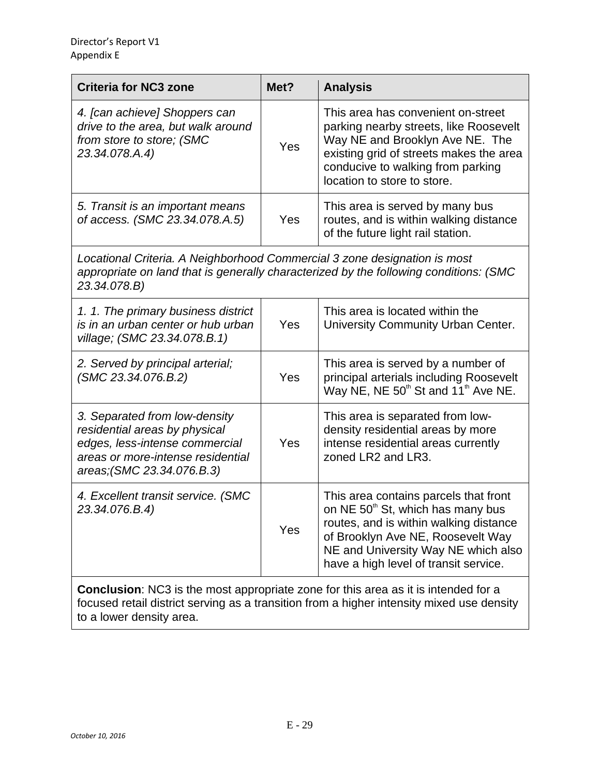| <b>Criteria for NC3 zone</b>                                                                                                                                                       | Met? | <b>Analysis</b>                                                                                                                                                                                                                                       |  |
|------------------------------------------------------------------------------------------------------------------------------------------------------------------------------------|------|-------------------------------------------------------------------------------------------------------------------------------------------------------------------------------------------------------------------------------------------------------|--|
| 4. [can achieve] Shoppers can<br>drive to the area, but walk around<br>from store to store; (SMC<br>23.34.078.A.4)                                                                 | Yes  | This area has convenient on-street<br>parking nearby streets, like Roosevelt<br>Way NE and Brooklyn Ave NE. The<br>existing grid of streets makes the area<br>conducive to walking from parking<br>location to store to store.                        |  |
| 5. Transit is an important means<br>of access. (SMC 23.34.078.A.5)                                                                                                                 | Yes  | This area is served by many bus<br>routes, and is within walking distance<br>of the future light rail station.                                                                                                                                        |  |
| Locational Criteria. A Neighborhood Commercial 3 zone designation is most<br>appropriate on land that is generally characterized by the following conditions: (SMC<br>23.34.078.B) |      |                                                                                                                                                                                                                                                       |  |
| 1. 1. The primary business district<br>is in an urban center or hub urban<br>village; (SMC 23.34.078.B.1)                                                                          | Yes  | This area is located within the<br>University Community Urban Center.                                                                                                                                                                                 |  |
| 2. Served by principal arterial;<br>(SMC 23.34.076.B.2)                                                                                                                            | Yes  | This area is served by a number of<br>principal arterials including Roosevelt<br>Way NE, NE 50 <sup>th</sup> St and 11 <sup>th</sup> Ave NE.                                                                                                          |  |
| 3. Separated from low-density<br>residential areas by physical<br>edges, less-intense commercial<br>areas or more-intense residential<br>areas;(SMC 23.34.076.B.3)                 | Yes  | This area is separated from low-<br>density residential areas by more<br>intense residential areas currently<br>zoned LR2 and LR3.                                                                                                                    |  |
| 4. Excellent transit service. (SMC<br>23.34.076.B.4)                                                                                                                               | Yes  | This area contains parcels that front<br>on NE 50 <sup>th</sup> St, which has many bus<br>routes, and is within walking distance<br>of Brooklyn Ave NE, Roosevelt Way<br>NE and University Way NE which also<br>have a high level of transit service. |  |
| <b>Conclusion:</b> NC3 is the most appropriate zone for this area as it is intended for a                                                                                          |      |                                                                                                                                                                                                                                                       |  |

**Conclusion**: NC3 is the most appropriate zone for this area as it is intended for a focused retail district serving as a transition from a higher intensity mixed use density to a lower density area.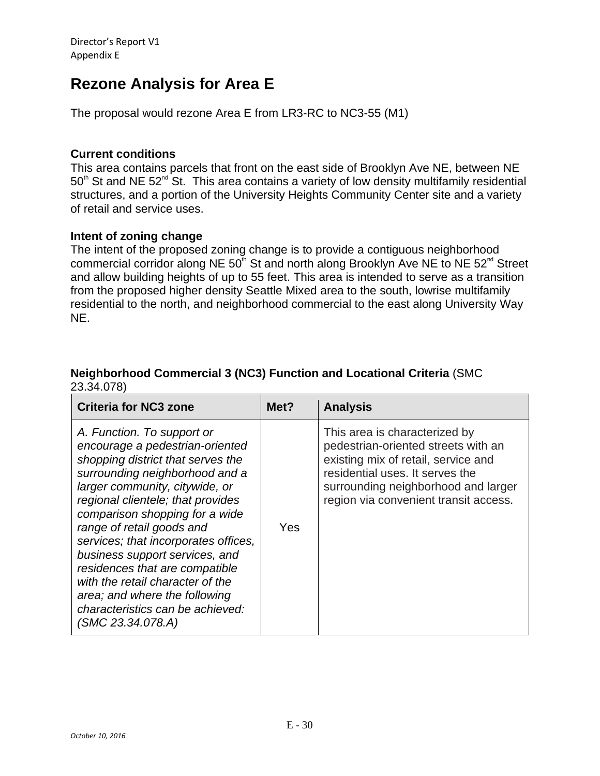# **Rezone Analysis for Area E**

The proposal would rezone Area E from LR3-RC to NC3-55 (M1)

## **Current conditions**

This area contains parcels that front on the east side of Brooklyn Ave NE, between NE  $50<sup>th</sup>$  St and NE  $52<sup>nd</sup>$  St. This area contains a variety of low density multifamily residential structures, and a portion of the University Heights Community Center site and a variety of retail and service uses.

## **Intent of zoning change**

The intent of the proposed zoning change is to provide a contiguous neighborhood commercial corridor along NE  $50<sup>th</sup>$  St and north along Brooklyn Ave NE to NE  $52<sup>nd</sup>$  Street and allow building heights of up to 55 feet. This area is intended to serve as a transition from the proposed higher density Seattle Mixed area to the south, lowrise multifamily residential to the north, and neighborhood commercial to the east along University Way NE.

#### **Neighborhood Commercial 3 (NC3) Function and Locational Criteria** (SMC 23.34.078)

| <b>Criteria for NC3 zone</b>                                                                                                                                                                                                                                                                                                                                                                                                                                                                                         | Met?       | <b>Analysis</b>                                                                                                                                                                                                                |
|----------------------------------------------------------------------------------------------------------------------------------------------------------------------------------------------------------------------------------------------------------------------------------------------------------------------------------------------------------------------------------------------------------------------------------------------------------------------------------------------------------------------|------------|--------------------------------------------------------------------------------------------------------------------------------------------------------------------------------------------------------------------------------|
| A. Function. To support or<br>encourage a pedestrian-oriented<br>shopping district that serves the<br>surrounding neighborhood and a<br>larger community, citywide, or<br>regional clientele; that provides<br>comparison shopping for a wide<br>range of retail goods and<br>services; that incorporates offices,<br>business support services, and<br>residences that are compatible<br>with the retail character of the<br>area; and where the following<br>characteristics can be achieved:<br>(SMC 23.34.078.A) | <b>Yes</b> | This area is characterized by<br>pedestrian-oriented streets with an<br>existing mix of retail, service and<br>residential uses. It serves the<br>surrounding neighborhood and larger<br>region via convenient transit access. |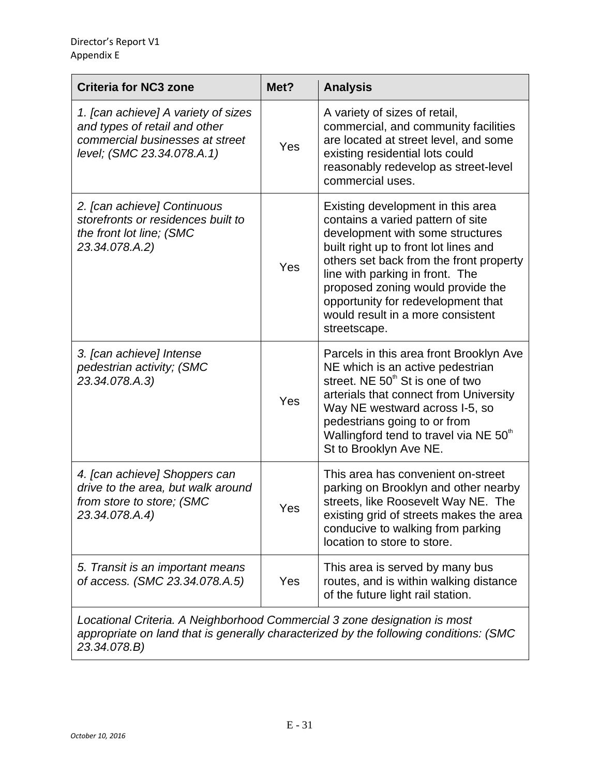| <b>Criteria for NC3 zone</b>                                                                                                          | Met? | <b>Analysis</b>                                                                                                                                                                                                                                                                                                                                                   |
|---------------------------------------------------------------------------------------------------------------------------------------|------|-------------------------------------------------------------------------------------------------------------------------------------------------------------------------------------------------------------------------------------------------------------------------------------------------------------------------------------------------------------------|
| 1. [can achieve] A variety of sizes<br>and types of retail and other<br>commercial businesses at street<br>level; (SMC 23.34.078.A.1) | Yes  | A variety of sizes of retail,<br>commercial, and community facilities<br>are located at street level, and some<br>existing residential lots could<br>reasonably redevelop as street-level<br>commercial uses.                                                                                                                                                     |
| 2. [can achieve] Continuous<br>storefronts or residences built to<br>the front lot line; (SMC<br>23.34.078.A.2)                       | Yes  | Existing development in this area<br>contains a varied pattern of site<br>development with some structures<br>built right up to front lot lines and<br>others set back from the front property<br>line with parking in front. The<br>proposed zoning would provide the<br>opportunity for redevelopment that<br>would result in a more consistent<br>streetscape. |
| 3. [can achieve] Intense<br>pedestrian activity; (SMC<br>23.34.078.A.3)                                                               | Yes  | Parcels in this area front Brooklyn Ave<br>NE which is an active pedestrian<br>street. NE 50 <sup>th</sup> St is one of two<br>arterials that connect from University<br>Way NE westward across I-5, so<br>pedestrians going to or from<br>Wallingford tend to travel via NE 50 <sup>th</sup><br>St to Brooklyn Ave NE.                                           |
| 4. [can achieve] Shoppers can<br>drive to the area, but walk around<br>from store to store; (SMC<br>23.34.078.A.4)                    | Yes  | This area has convenient on-street<br>parking on Brooklyn and other nearby<br>streets, like Roosevelt Way NE. The<br>existing grid of streets makes the area<br>conducive to walking from parking<br>location to store to store.                                                                                                                                  |
| 5. Transit is an important means<br>of access. (SMC 23.34.078.A.5)                                                                    | Yes  | This area is served by many bus<br>routes, and is within walking distance<br>of the future light rail station.                                                                                                                                                                                                                                                    |

*Locational Criteria. A Neighborhood Commercial 3 zone designation is most appropriate on land that is generally characterized by the following conditions: (SMC 23.34.078.B)*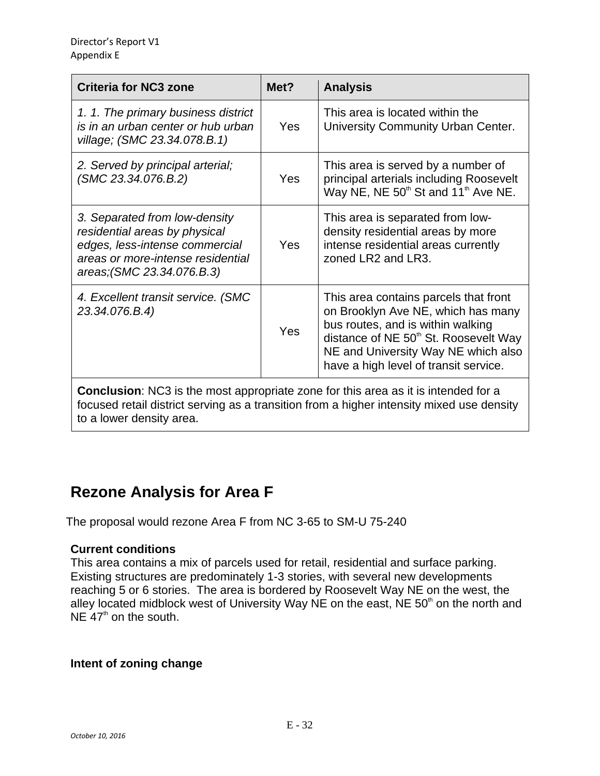| <b>Criteria for NC3 zone</b>                                                                                                                                        | Met? | <b>Analysis</b>                                                                                                                                                                                                                                       |
|---------------------------------------------------------------------------------------------------------------------------------------------------------------------|------|-------------------------------------------------------------------------------------------------------------------------------------------------------------------------------------------------------------------------------------------------------|
| 1. 1. The primary business district<br>is in an urban center or hub urban<br>village; (SMC 23.34.078.B.1)                                                           | Yes  | This area is located within the<br>University Community Urban Center.                                                                                                                                                                                 |
| 2. Served by principal arterial;<br>(SMC 23.34.076.B.2)                                                                                                             | Yes  | This area is served by a number of<br>principal arterials including Roosevelt<br>Way NE, NE 50 <sup>th</sup> St and 11 <sup>th</sup> Ave NE.                                                                                                          |
| 3. Separated from low-density<br>residential areas by physical<br>edges, less-intense commercial<br>areas or more-intense residential<br>areas; (SMC 23.34.076.B.3) | Yes  | This area is separated from low-<br>density residential areas by more<br>intense residential areas currently<br>zoned LR2 and LR3.                                                                                                                    |
| 4. Excellent transit service. (SMC<br>23.34.076.B.4)                                                                                                                | Yes  | This area contains parcels that front<br>on Brooklyn Ave NE, which has many<br>bus routes, and is within walking<br>distance of NE 50 <sup>th</sup> St. Roosevelt Way<br>NE and University Way NE which also<br>have a high level of transit service. |
| <b>Conclusion:</b> NC3 is the most appropriate zone for this area as it is intended for a                                                                           |      |                                                                                                                                                                                                                                                       |

**Conclusion**: NC3 is the most appropriate zone for this area as it is intended for a focused retail district serving as a transition from a higher intensity mixed use density to a lower density area.

# **Rezone Analysis for Area F**

The proposal would rezone Area F from NC 3-65 to SM-U 75-240

# **Current conditions**

This area contains a mix of parcels used for retail, residential and surface parking. Existing structures are predominately 1-3 stories, with several new developments reaching 5 or 6 stories. The area is bordered by Roosevelt Way NE on the west, the alley located midblock west of University Way NE on the east,  $NE 50<sup>th</sup>$  on the north and  $NE$  47<sup>th</sup> on the south.

## **Intent of zoning change**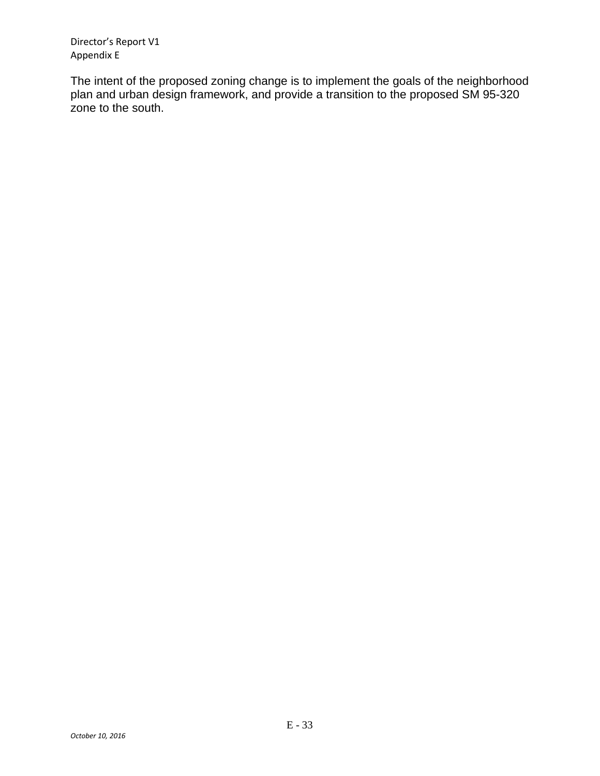Director's Report V1 Appendix E

The intent of the proposed zoning change is to implement the goals of the neighborhood plan and urban design framework, and provide a transition to the proposed SM 95-320 zone to the south.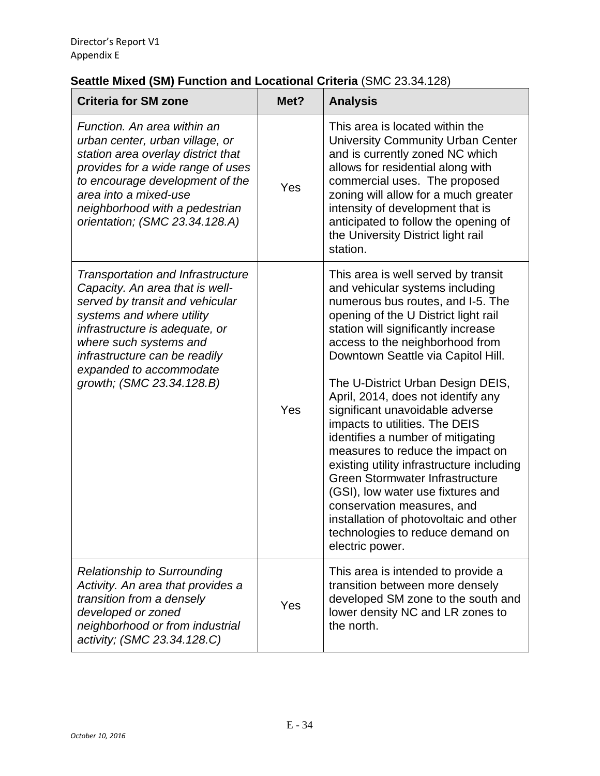# **Seattle Mixed (SM) Function and Locational Criteria (SMC 23.34.128)**

| <b>Criteria for SM zone</b>                                                                                                                                                                                                                                                                      | Met? | <b>Analysis</b>                                                                                                                                                                                                                                                                                                                                                                                                                                                                                                                                                                                                                                                                                                                                         |
|--------------------------------------------------------------------------------------------------------------------------------------------------------------------------------------------------------------------------------------------------------------------------------------------------|------|---------------------------------------------------------------------------------------------------------------------------------------------------------------------------------------------------------------------------------------------------------------------------------------------------------------------------------------------------------------------------------------------------------------------------------------------------------------------------------------------------------------------------------------------------------------------------------------------------------------------------------------------------------------------------------------------------------------------------------------------------------|
| Function. An area within an<br>urban center, urban village, or<br>station area overlay district that<br>provides for a wide range of uses<br>to encourage development of the<br>area into a mixed-use<br>neighborhood with a pedestrian<br>orientation; (SMC 23.34.128.A)                        | Yes  | This area is located within the<br><b>University Community Urban Center</b><br>and is currently zoned NC which<br>allows for residential along with<br>commercial uses. The proposed<br>zoning will allow for a much greater<br>intensity of development that is<br>anticipated to follow the opening of<br>the University District light rail<br>station.                                                                                                                                                                                                                                                                                                                                                                                              |
| <b>Transportation and Infrastructure</b><br>Capacity. An area that is well-<br>served by transit and vehicular<br>systems and where utility<br>infrastructure is adequate, or<br>where such systems and<br>infrastructure can be readily<br>expanded to accommodate<br>growth; (SMC 23.34.128.B) | Yes  | This area is well served by transit<br>and vehicular systems including<br>numerous bus routes, and I-5. The<br>opening of the U District light rail<br>station will significantly increase<br>access to the neighborhood from<br>Downtown Seattle via Capitol Hill.<br>The U-District Urban Design DEIS,<br>April, 2014, does not identify any<br>significant unavoidable adverse<br>impacts to utilities. The DEIS<br>identifies a number of mitigating<br>measures to reduce the impact on<br>existing utility infrastructure including<br><b>Green Stormwater Infrastructure</b><br>(GSI), low water use fixtures and<br>conservation measures, and<br>installation of photovoltaic and other<br>technologies to reduce demand on<br>electric power. |
| <b>Relationship to Surrounding</b><br>Activity. An area that provides a<br>transition from a densely<br>developed or zoned<br>neighborhood or from industrial<br>activity; (SMC 23.34.128.C)                                                                                                     | Yes  | This area is intended to provide a<br>transition between more densely<br>developed SM zone to the south and<br>lower density NC and LR zones to<br>the north.                                                                                                                                                                                                                                                                                                                                                                                                                                                                                                                                                                                           |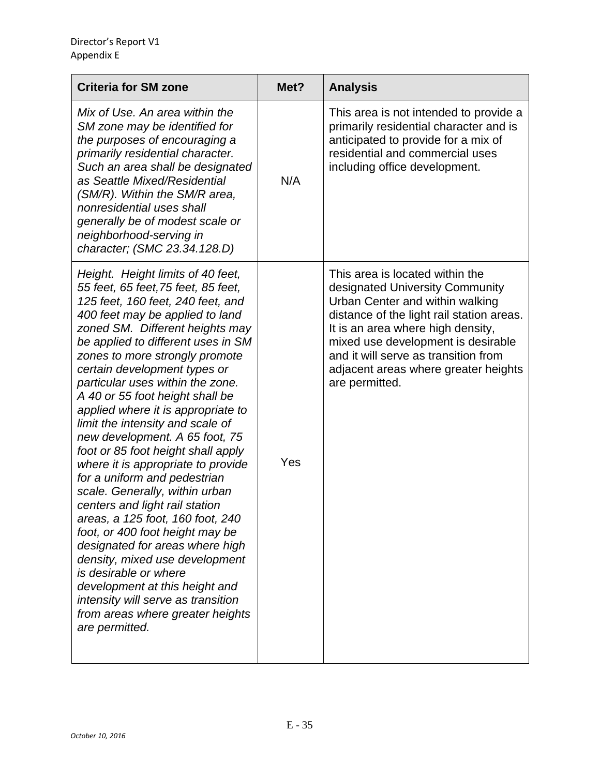| <b>Criteria for SM zone</b>                                                                                                                                                                                                                                                                                                                                                                                                                                                                                                                                                                                                                                                                                                                                                                                                                                                                                                                                       | Met? | <b>Analysis</b>                                                                                                                                                                                                                                                                                                                 |
|-------------------------------------------------------------------------------------------------------------------------------------------------------------------------------------------------------------------------------------------------------------------------------------------------------------------------------------------------------------------------------------------------------------------------------------------------------------------------------------------------------------------------------------------------------------------------------------------------------------------------------------------------------------------------------------------------------------------------------------------------------------------------------------------------------------------------------------------------------------------------------------------------------------------------------------------------------------------|------|---------------------------------------------------------------------------------------------------------------------------------------------------------------------------------------------------------------------------------------------------------------------------------------------------------------------------------|
| Mix of Use. An area within the<br>SM zone may be identified for<br>the purposes of encouraging a<br>primarily residential character.<br>Such an area shall be designated<br>as Seattle Mixed/Residential<br>(SM/R). Within the SM/R area,<br>nonresidential uses shall<br>generally be of modest scale or<br>neighborhood-serving in<br>character; (SMC 23.34.128.D)                                                                                                                                                                                                                                                                                                                                                                                                                                                                                                                                                                                              | N/A  | This area is not intended to provide a<br>primarily residential character and is<br>anticipated to provide for a mix of<br>residential and commercial uses<br>including office development.                                                                                                                                     |
| Height. Height limits of 40 feet,<br>55 feet, 65 feet, 75 feet, 85 feet,<br>125 feet, 160 feet, 240 feet, and<br>400 feet may be applied to land<br>zoned SM. Different heights may<br>be applied to different uses in SM<br>zones to more strongly promote<br>certain development types or<br>particular uses within the zone.<br>A 40 or 55 foot height shall be<br>applied where it is appropriate to<br>limit the intensity and scale of<br>new development. A 65 foot, 75<br>foot or 85 foot height shall apply<br>where it is appropriate to provide<br>for a uniform and pedestrian<br>scale. Generally, within urban<br>centers and light rail station<br>areas, a 125 foot, 160 foot, 240<br>foot, or 400 foot height may be<br>designated for areas where high<br>density, mixed use development<br>is desirable or where<br>development at this height and<br>intensity will serve as transition<br>from areas where greater heights<br>are permitted. | Yes  | This area is located within the<br>designated University Community<br>Urban Center and within walking<br>distance of the light rail station areas.<br>It is an area where high density,<br>mixed use development is desirable<br>and it will serve as transition from<br>adjacent areas where greater heights<br>are permitted. |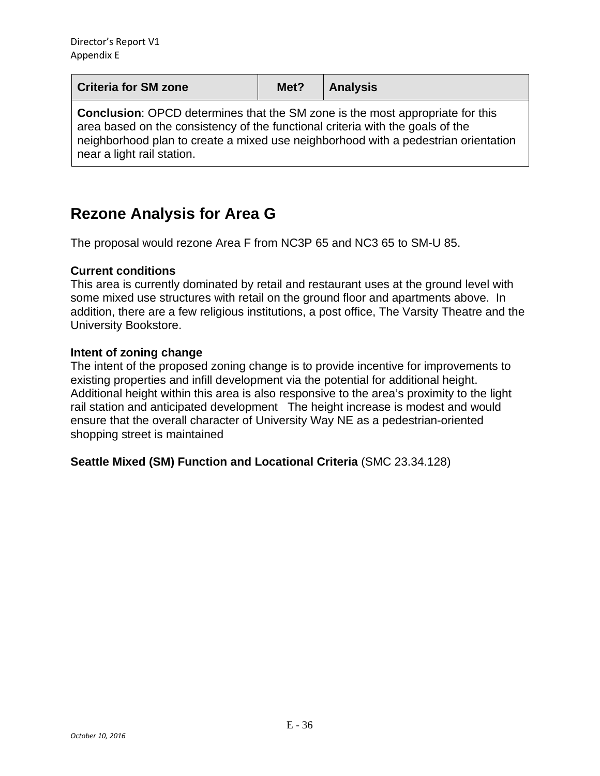| <b>Criteria for SM zone</b>                                                                                                                                                                          | Met? | <b>Analysis</b>                                                                    |
|------------------------------------------------------------------------------------------------------------------------------------------------------------------------------------------------------|------|------------------------------------------------------------------------------------|
| <b>Conclusion:</b> OPCD determines that the SM zone is the most appropriate for this<br>area based on the consistency of the functional criteria with the goals of the<br>near a light rail station. |      | neighborhood plan to create a mixed use neighborhood with a pedestrian orientation |

# **Rezone Analysis for Area G**

The proposal would rezone Area F from NC3P 65 and NC3 65 to SM-U 85.

### **Current conditions**

This area is currently dominated by retail and restaurant uses at the ground level with some mixed use structures with retail on the ground floor and apartments above. In addition, there are a few religious institutions, a post office, The Varsity Theatre and the University Bookstore.

### **Intent of zoning change**

The intent of the proposed zoning change is to provide incentive for improvements to existing properties and infill development via the potential for additional height. Additional height within this area is also responsive to the area's proximity to the light rail station and anticipated development The height increase is modest and would ensure that the overall character of University Way NE as a pedestrian-oriented shopping street is maintained

**Seattle Mixed (SM) Function and Locational Criteria** (SMC 23.34.128)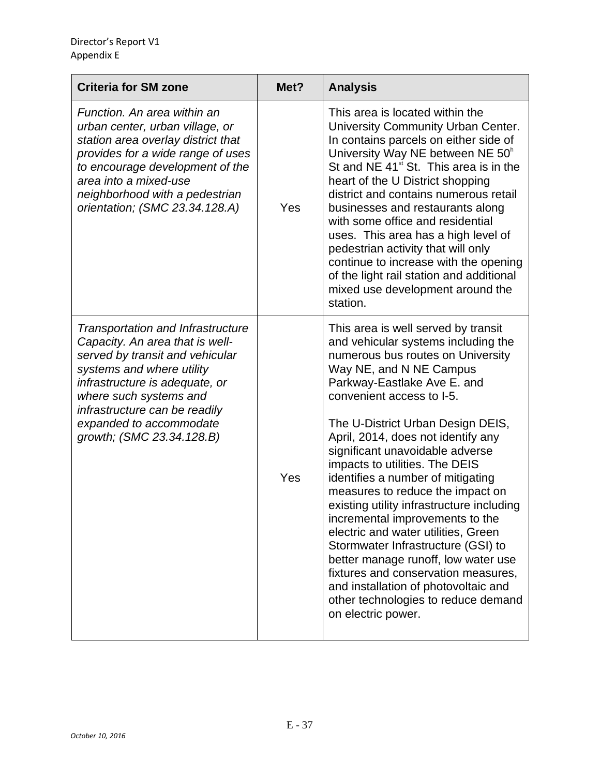| <b>Criteria for SM zone</b>                                                                                                                                                                                                                                                                      | Met? | <b>Analysis</b>                                                                                                                                                                                                                                                                                                                                                                                                                                                                                                                                                                                                                                                                                                                                                                 |
|--------------------------------------------------------------------------------------------------------------------------------------------------------------------------------------------------------------------------------------------------------------------------------------------------|------|---------------------------------------------------------------------------------------------------------------------------------------------------------------------------------------------------------------------------------------------------------------------------------------------------------------------------------------------------------------------------------------------------------------------------------------------------------------------------------------------------------------------------------------------------------------------------------------------------------------------------------------------------------------------------------------------------------------------------------------------------------------------------------|
| Function. An area within an<br>urban center, urban village, or<br>station area overlay district that<br>provides for a wide range of uses<br>to encourage development of the<br>area into a mixed-use<br>neighborhood with a pedestrian<br>orientation; (SMC 23.34.128.A)                        | Yes  | This area is located within the<br>University Community Urban Center.<br>In contains parcels on either side of<br>University Way NE between NE 50 <sup>h</sup><br>St and NE 41 <sup>st</sup> St. This area is in the<br>heart of the U District shopping<br>district and contains numerous retail<br>businesses and restaurants along<br>with some office and residential<br>uses. This area has a high level of<br>pedestrian activity that will only<br>continue to increase with the opening<br>of the light rail station and additional<br>mixed use development around the<br>station.                                                                                                                                                                                     |
| <b>Transportation and Infrastructure</b><br>Capacity. An area that is well-<br>served by transit and vehicular<br>systems and where utility<br>infrastructure is adequate, or<br>where such systems and<br>infrastructure can be readily<br>expanded to accommodate<br>growth; (SMC 23.34.128.B) | Yes  | This area is well served by transit<br>and vehicular systems including the<br>numerous bus routes on University<br>Way NE, and N NE Campus<br>Parkway-Eastlake Ave E. and<br>convenient access to I-5.<br>The U-District Urban Design DEIS,<br>April, 2014, does not identify any<br>significant unavoidable adverse<br>impacts to utilities. The DEIS<br>identifies a number of mitigating<br>measures to reduce the impact on<br>existing utility infrastructure including<br>incremental improvements to the<br>electric and water utilities, Green<br>Stormwater Infrastructure (GSI) to<br>better manage runoff, low water use<br>fixtures and conservation measures,<br>and installation of photovoltaic and<br>other technologies to reduce demand<br>on electric power. |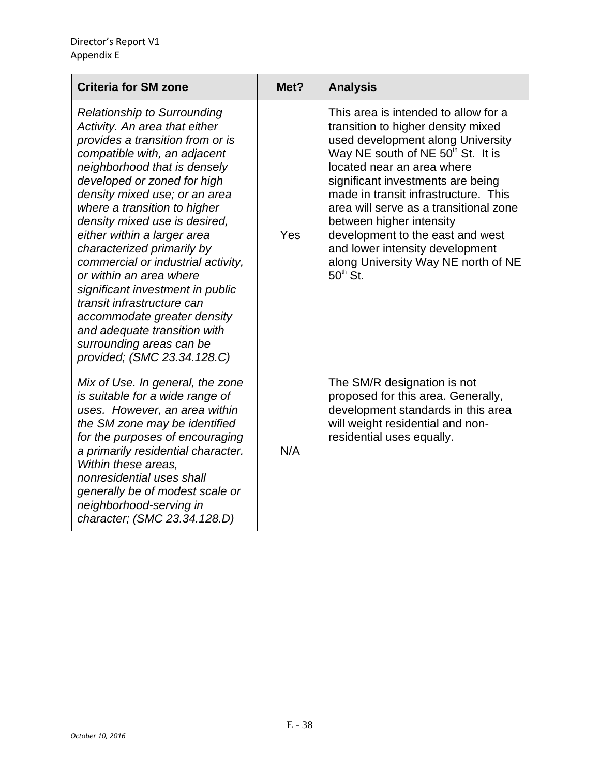| <b>Criteria for SM zone</b>                                                                                                                                                                                                                                                                                                                                                                                                                                                                                                                                                                                                        | Met? | <b>Analysis</b>                                                                                                                                                                                                                                                                                                                                                                                                                                                               |
|------------------------------------------------------------------------------------------------------------------------------------------------------------------------------------------------------------------------------------------------------------------------------------------------------------------------------------------------------------------------------------------------------------------------------------------------------------------------------------------------------------------------------------------------------------------------------------------------------------------------------------|------|-------------------------------------------------------------------------------------------------------------------------------------------------------------------------------------------------------------------------------------------------------------------------------------------------------------------------------------------------------------------------------------------------------------------------------------------------------------------------------|
| <b>Relationship to Surrounding</b><br>Activity. An area that either<br>provides a transition from or is<br>compatible with, an adjacent<br>neighborhood that is densely<br>developed or zoned for high<br>density mixed use; or an area<br>where a transition to higher<br>density mixed use is desired,<br>either within a larger area<br>characterized primarily by<br>commercial or industrial activity,<br>or within an area where<br>significant investment in public<br>transit infrastructure can<br>accommodate greater density<br>and adequate transition with<br>surrounding areas can be<br>provided; (SMC 23.34.128.C) | Yes  | This area is intended to allow for a<br>transition to higher density mixed<br>used development along University<br>Way NE south of NE 50 <sup>th</sup> St. It is<br>located near an area where<br>significant investments are being<br>made in transit infrastructure. This<br>area will serve as a transitional zone<br>between higher intensity<br>development to the east and west<br>and lower intensity development<br>along University Way NE north of NE<br>$50th$ St. |
| Mix of Use. In general, the zone<br>is suitable for a wide range of<br>uses. However, an area within<br>the SM zone may be identified<br>for the purposes of encouraging<br>a primarily residential character.<br>Within these areas,<br>nonresidential uses shall<br>generally be of modest scale or<br>neighborhood-serving in<br>character; (SMC 23.34.128.D)                                                                                                                                                                                                                                                                   | N/A  | The SM/R designation is not<br>proposed for this area. Generally,<br>development standards in this area<br>will weight residential and non-<br>residential uses equally.                                                                                                                                                                                                                                                                                                      |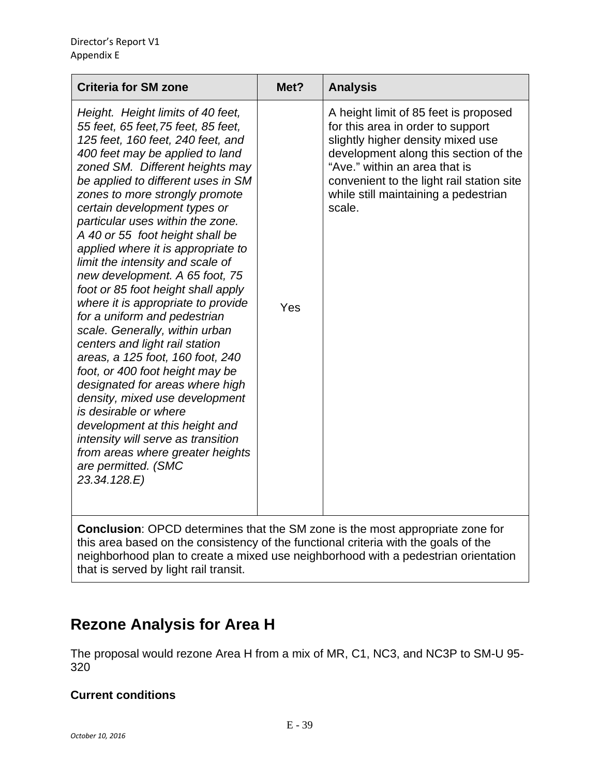| <b>Criteria for SM zone</b>                                                                                                                                                                                                                                                                                                                                                                                                                                                                                                                                                                                                                                                                                                                                                                                                                                                                                                                                                            | Met? | <b>Analysis</b>                                                                                                                                                                                                                                                                          |
|----------------------------------------------------------------------------------------------------------------------------------------------------------------------------------------------------------------------------------------------------------------------------------------------------------------------------------------------------------------------------------------------------------------------------------------------------------------------------------------------------------------------------------------------------------------------------------------------------------------------------------------------------------------------------------------------------------------------------------------------------------------------------------------------------------------------------------------------------------------------------------------------------------------------------------------------------------------------------------------|------|------------------------------------------------------------------------------------------------------------------------------------------------------------------------------------------------------------------------------------------------------------------------------------------|
| Height. Height limits of 40 feet,<br>55 feet, 65 feet, 75 feet, 85 feet,<br>125 feet, 160 feet, 240 feet, and<br>400 feet may be applied to land<br>zoned SM. Different heights may<br>be applied to different uses in SM<br>zones to more strongly promote<br>certain development types or<br>particular uses within the zone.<br>A 40 or 55 foot height shall be<br>applied where it is appropriate to<br>limit the intensity and scale of<br>new development. A 65 foot, 75<br>foot or 85 foot height shall apply<br>where it is appropriate to provide<br>for a uniform and pedestrian<br>scale. Generally, within urban<br>centers and light rail station<br>areas, a 125 foot, 160 foot, 240<br>foot, or 400 foot height may be<br>designated for areas where high<br>density, mixed use development<br>is desirable or where<br>development at this height and<br>intensity will serve as transition<br>from areas where greater heights<br>are permitted. (SMC<br>23.34.128.E) | Yes  | A height limit of 85 feet is proposed<br>for this area in order to support<br>slightly higher density mixed use<br>development along this section of the<br>"Ave." within an area that is<br>convenient to the light rail station site<br>while still maintaining a pedestrian<br>scale. |

**Conclusion**: OPCD determines that the SM zone is the most appropriate zone for this area based on the consistency of the functional criteria with the goals of the neighborhood plan to create a mixed use neighborhood with a pedestrian orientation that is served by light rail transit.

# **Rezone Analysis for Area H**

The proposal would rezone Area H from a mix of MR, C1, NC3, and NC3P to SM-U 95- 320

# **Current conditions**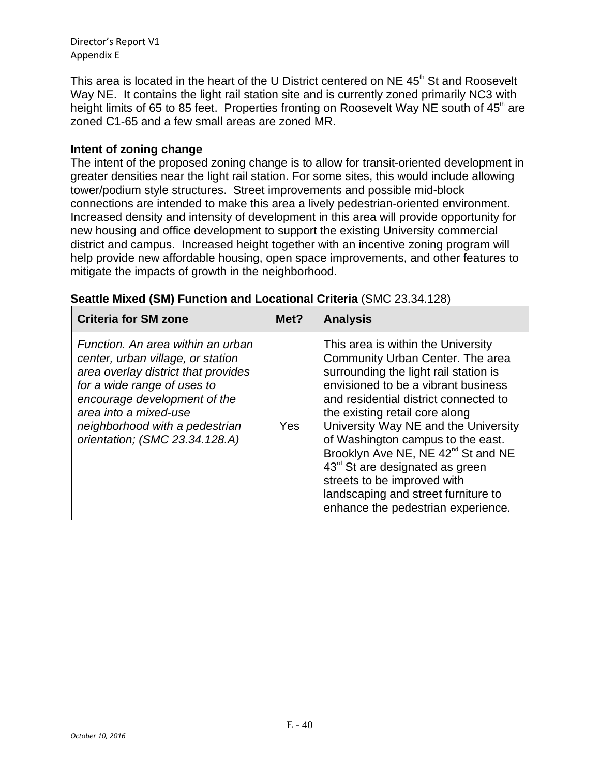Director's Report V1 Appendix E

This area is located in the heart of the U District centered on  $NE$  45<sup>th</sup> St and Roosevelt Way NE. It contains the light rail station site and is currently zoned primarily NC3 with height limits of 65 to 85 feet. Properties fronting on Roosevelt Way NE south of 45<sup>th</sup> are zoned C1-65 and a few small areas are zoned MR.

### **Intent of zoning change**

The intent of the proposed zoning change is to allow for transit-oriented development in greater densities near the light rail station. For some sites, this would include allowing tower/podium style structures. Street improvements and possible mid-block connections are intended to make this area a lively pedestrian-oriented environment. Increased density and intensity of development in this area will provide opportunity for new housing and office development to support the existing University commercial district and campus. Increased height together with an incentive zoning program will help provide new affordable housing, open space improvements, and other features to mitigate the impacts of growth in the neighborhood.

| <b>Criteria for SM zone</b>                                                                                                                                                                                                                                               | Met? | <b>Analysis</b>                                                                                                                                                                                                                                                                                                                                                                                                                                                                                                             |
|---------------------------------------------------------------------------------------------------------------------------------------------------------------------------------------------------------------------------------------------------------------------------|------|-----------------------------------------------------------------------------------------------------------------------------------------------------------------------------------------------------------------------------------------------------------------------------------------------------------------------------------------------------------------------------------------------------------------------------------------------------------------------------------------------------------------------------|
| Function. An area within an urban<br>center, urban village, or station<br>area overlay district that provides<br>for a wide range of uses to<br>encourage development of the<br>area into a mixed-use<br>neighborhood with a pedestrian<br>orientation; (SMC 23.34.128.A) | Yes  | This area is within the University<br>Community Urban Center. The area<br>surrounding the light rail station is<br>envisioned to be a vibrant business<br>and residential district connected to<br>the existing retail core along<br>University Way NE and the University<br>of Washington campus to the east.<br>Brooklyn Ave NE, NE 42 <sup>nd</sup> St and NE<br>43 <sup>rd</sup> St are designated as green<br>streets to be improved with<br>landscaping and street furniture to<br>enhance the pedestrian experience. |

#### **Seattle Mixed (SM) Function and Locational Criteria** (SMC 23.34.128)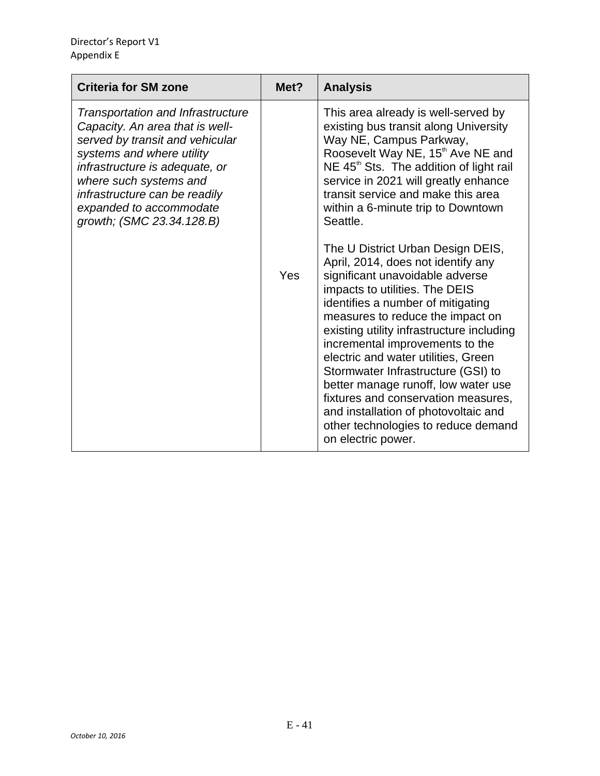| <b>Criteria for SM zone</b>                                                                                                                                                                                                                                                                      | Met? | <b>Analysis</b>                                                                                                                                                                                                                                                                                                                                                                                                                                                                                                                                                       |
|--------------------------------------------------------------------------------------------------------------------------------------------------------------------------------------------------------------------------------------------------------------------------------------------------|------|-----------------------------------------------------------------------------------------------------------------------------------------------------------------------------------------------------------------------------------------------------------------------------------------------------------------------------------------------------------------------------------------------------------------------------------------------------------------------------------------------------------------------------------------------------------------------|
| <b>Transportation and Infrastructure</b><br>Capacity. An area that is well-<br>served by transit and vehicular<br>systems and where utility<br>infrastructure is adequate, or<br>where such systems and<br>infrastructure can be readily<br>expanded to accommodate<br>growth; (SMC 23.34.128.B) |      | This area already is well-served by<br>existing bus transit along University<br>Way NE, Campus Parkway,<br>Roosevelt Way NE, 15 <sup>th</sup> Ave NE and<br>NE 45 <sup>th</sup> Sts. The addition of light rail<br>service in 2021 will greatly enhance<br>transit service and make this area<br>within a 6-minute trip to Downtown<br>Seattle.                                                                                                                                                                                                                       |
|                                                                                                                                                                                                                                                                                                  | Yes  | The U District Urban Design DEIS,<br>April, 2014, does not identify any<br>significant unavoidable adverse<br>impacts to utilities. The DEIS<br>identifies a number of mitigating<br>measures to reduce the impact on<br>existing utility infrastructure including<br>incremental improvements to the<br>electric and water utilities, Green<br>Stormwater Infrastructure (GSI) to<br>better manage runoff, low water use<br>fixtures and conservation measures,<br>and installation of photovoltaic and<br>other technologies to reduce demand<br>on electric power. |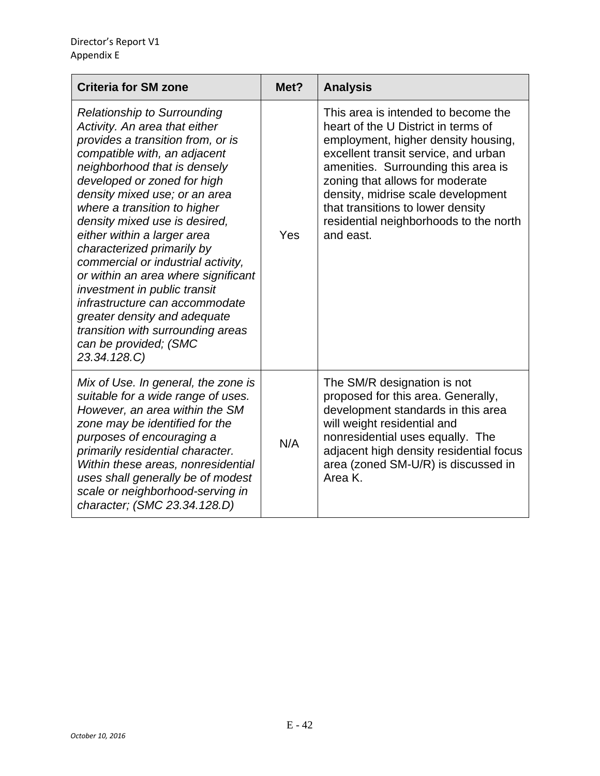| <b>Criteria for SM zone</b>                                                                                                                                                                                                                                                                                                                                                                                                                                                                                                                                                                                                         | Met? | <b>Analysis</b>                                                                                                                                                                                                                                                                                                                                                       |
|-------------------------------------------------------------------------------------------------------------------------------------------------------------------------------------------------------------------------------------------------------------------------------------------------------------------------------------------------------------------------------------------------------------------------------------------------------------------------------------------------------------------------------------------------------------------------------------------------------------------------------------|------|-----------------------------------------------------------------------------------------------------------------------------------------------------------------------------------------------------------------------------------------------------------------------------------------------------------------------------------------------------------------------|
| <b>Relationship to Surrounding</b><br>Activity. An area that either<br>provides a transition from, or is<br>compatible with, an adjacent<br>neighborhood that is densely<br>developed or zoned for high<br>density mixed use; or an area<br>where a transition to higher<br>density mixed use is desired,<br>either within a larger area<br>characterized primarily by<br>commercial or industrial activity,<br>or within an area where significant<br>investment in public transit<br>infrastructure can accommodate<br>greater density and adequate<br>transition with surrounding areas<br>can be provided; (SMC<br>23.34.128.C) | Yes  | This area is intended to become the<br>heart of the U District in terms of<br>employment, higher density housing,<br>excellent transit service, and urban<br>amenities. Surrounding this area is<br>zoning that allows for moderate<br>density, midrise scale development<br>that transitions to lower density<br>residential neighborhoods to the north<br>and east. |
| Mix of Use. In general, the zone is<br>suitable for a wide range of uses.<br>However, an area within the SM<br>zone may be identified for the<br>purposes of encouraging a<br>primarily residential character.<br>Within these areas, nonresidential<br>uses shall generally be of modest<br>scale or neighborhood-serving in<br>character; (SMC 23.34.128.D)                                                                                                                                                                                                                                                                       | N/A  | The SM/R designation is not<br>proposed for this area. Generally,<br>development standards in this area<br>will weight residential and<br>nonresidential uses equally. The<br>adjacent high density residential focus<br>area (zoned SM-U/R) is discussed in<br>Area K.                                                                                               |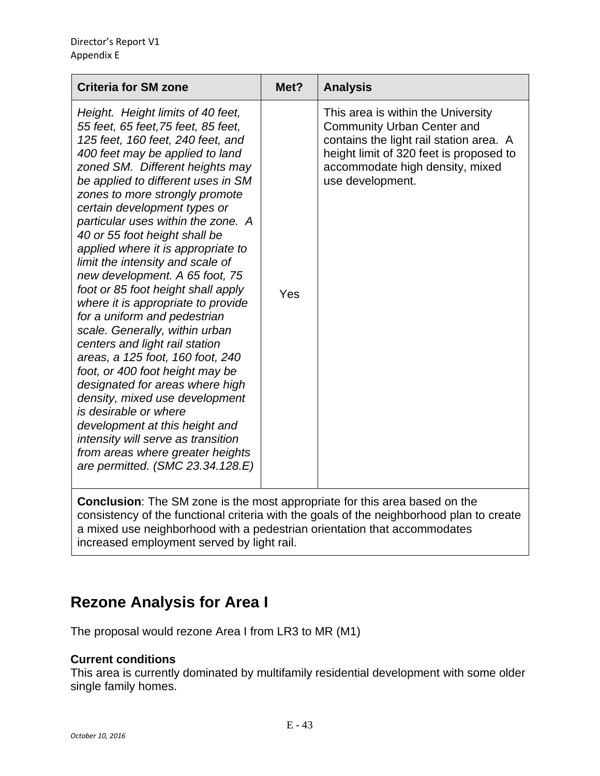| <b>Criteria for SM zone</b>                                                                                                                                                                                                                                                                                                                                                                                                                                                                                                                                                                                                                                                                                                                                                                                                                                                                                                                                                         | Met? | <b>Analysis</b>                                                                                                                                                                                                      |
|-------------------------------------------------------------------------------------------------------------------------------------------------------------------------------------------------------------------------------------------------------------------------------------------------------------------------------------------------------------------------------------------------------------------------------------------------------------------------------------------------------------------------------------------------------------------------------------------------------------------------------------------------------------------------------------------------------------------------------------------------------------------------------------------------------------------------------------------------------------------------------------------------------------------------------------------------------------------------------------|------|----------------------------------------------------------------------------------------------------------------------------------------------------------------------------------------------------------------------|
| Height. Height limits of 40 feet,<br>55 feet, 65 feet, 75 feet, 85 feet,<br>125 feet, 160 feet, 240 feet, and<br>400 feet may be applied to land<br>zoned SM. Different heights may<br>be applied to different uses in SM<br>zones to more strongly promote<br>certain development types or<br>particular uses within the zone. A<br>40 or 55 foot height shall be<br>applied where it is appropriate to<br>limit the intensity and scale of<br>new development. A 65 foot, 75<br>foot or 85 foot height shall apply<br>where it is appropriate to provide<br>for a uniform and pedestrian<br>scale. Generally, within urban<br>centers and light rail station<br>areas, a 125 foot, 160 foot, 240<br>foot, or 400 foot height may be<br>designated for areas where high<br>density, mixed use development<br>is desirable or where<br>development at this height and<br>intensity will serve as transition<br>from areas where greater heights<br>are permitted. (SMC 23.34.128.E) | Yes  | This area is within the University<br><b>Community Urban Center and</b><br>contains the light rail station area. A<br>height limit of 320 feet is proposed to<br>accommodate high density, mixed<br>use development. |

**Conclusion**: The SM zone is the most appropriate for this area based on the consistency of the functional criteria with the goals of the neighborhood plan to create a mixed use neighborhood with a pedestrian orientation that accommodates increased employment served by light rail.

# **Rezone Analysis for Area I**

The proposal would rezone Area I from LR3 to MR (M1)

## **Current conditions**

This area is currently dominated by multifamily residential development with some older single family homes.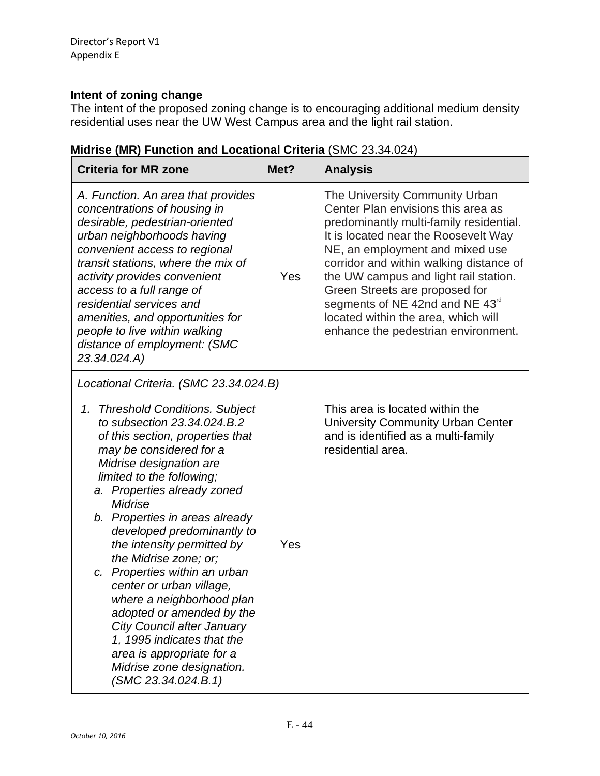# **Intent of zoning change**

The intent of the proposed zoning change is to encouraging additional medium density residential uses near the UW West Campus area and the light rail station.

## **Midrise (MR) Function and Locational Criteria** (SMC 23.34.024)

| <b>Criteria for MR zone</b>                                                                                                                                                                                                                                                                                                                                                                                                                                                                                                                                                                                                                            | Met? | <b>Analysis</b>                                                                                                                                                                                                                                                                                                                                                                                                                   |  |
|--------------------------------------------------------------------------------------------------------------------------------------------------------------------------------------------------------------------------------------------------------------------------------------------------------------------------------------------------------------------------------------------------------------------------------------------------------------------------------------------------------------------------------------------------------------------------------------------------------------------------------------------------------|------|-----------------------------------------------------------------------------------------------------------------------------------------------------------------------------------------------------------------------------------------------------------------------------------------------------------------------------------------------------------------------------------------------------------------------------------|--|
| A. Function. An area that provides<br>concentrations of housing in<br>desirable, pedestrian-oriented<br>urban neighborhoods having<br>convenient access to regional<br>transit stations, where the mix of<br>activity provides convenient<br>access to a full range of<br>residential services and<br>amenities, and opportunities for<br>people to live within walking<br>distance of employment: (SMC<br>23.34.024.A)                                                                                                                                                                                                                                | Yes  | The University Community Urban<br>Center Plan envisions this area as<br>predominantly multi-family residential.<br>It is located near the Roosevelt Way<br>NE, an employment and mixed use<br>corridor and within walking distance of<br>the UW campus and light rail station.<br>Green Streets are proposed for<br>segments of NE 42nd and NE 43rd<br>located within the area, which will<br>enhance the pedestrian environment. |  |
| Locational Criteria. (SMC 23.34.024.B)                                                                                                                                                                                                                                                                                                                                                                                                                                                                                                                                                                                                                 |      |                                                                                                                                                                                                                                                                                                                                                                                                                                   |  |
| <b>Threshold Conditions. Subject</b><br>1.<br>to subsection 23.34.024.B.2<br>of this section, properties that<br>may be considered for a<br>Midrise designation are<br>limited to the following;<br>a. Properties already zoned<br><b>Midrise</b><br>b. Properties in areas already<br>developed predominantly to<br>the intensity permitted by<br>the Midrise zone; or;<br>Properties within an urban<br>C.<br>center or urban village,<br>where a neighborhood plan<br>adopted or amended by the<br><b>City Council after January</b><br>1, 1995 indicates that the<br>area is appropriate for a<br>Midrise zone designation.<br>(SMC 23.34.024.B.1) | Yes  | This area is located within the<br><b>University Community Urban Center</b><br>and is identified as a multi-family<br>residential area.                                                                                                                                                                                                                                                                                           |  |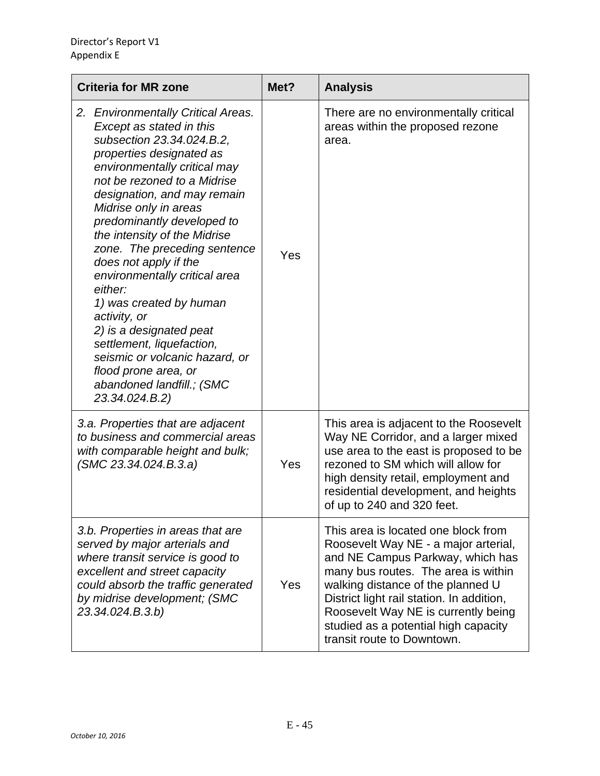| <b>Criteria for MR zone</b>                                                                                                                                                                                                                                                                                                                                                                                                                                                                                                                                                                                                   | Met? | <b>Analysis</b>                                                                                                                                                                                                                                                                                                                                       |
|-------------------------------------------------------------------------------------------------------------------------------------------------------------------------------------------------------------------------------------------------------------------------------------------------------------------------------------------------------------------------------------------------------------------------------------------------------------------------------------------------------------------------------------------------------------------------------------------------------------------------------|------|-------------------------------------------------------------------------------------------------------------------------------------------------------------------------------------------------------------------------------------------------------------------------------------------------------------------------------------------------------|
| 2. Environmentally Critical Areas.<br>Except as stated in this<br>subsection 23.34.024.B.2,<br>properties designated as<br>environmentally critical may<br>not be rezoned to a Midrise<br>designation, and may remain<br>Midrise only in areas<br>predominantly developed to<br>the intensity of the Midrise<br>zone. The preceding sentence<br>does not apply if the<br>environmentally critical area<br>either:<br>1) was created by human<br>activity, or<br>2) is a designated peat<br>settlement, liquefaction,<br>seismic or volcanic hazard, or<br>flood prone area, or<br>abandoned landfill.; (SMC<br>23.34.024.B.2) | Yes  | There are no environmentally critical<br>areas within the proposed rezone<br>area.                                                                                                                                                                                                                                                                    |
| 3.a. Properties that are adjacent<br>to business and commercial areas<br>with comparable height and bulk;<br>(SMC 23.34.024.B.3.a)                                                                                                                                                                                                                                                                                                                                                                                                                                                                                            | Yes  | This area is adjacent to the Roosevelt<br>Way NE Corridor, and a larger mixed<br>use area to the east is proposed to be<br>rezoned to SM which will allow for<br>high density retail, employment and<br>residential development, and heights<br>of up to 240 and 320 feet.                                                                            |
| 3.b. Properties in areas that are<br>served by major arterials and<br>where transit service is good to<br>excellent and street capacity<br>could absorb the traffic generated<br>by midrise development; (SMC<br>23.34.024.B.3.b)                                                                                                                                                                                                                                                                                                                                                                                             | Yes  | This area is located one block from<br>Roosevelt Way NE - a major arterial,<br>and NE Campus Parkway, which has<br>many bus routes. The area is within<br>walking distance of the planned U<br>District light rail station. In addition,<br>Roosevelt Way NE is currently being<br>studied as a potential high capacity<br>transit route to Downtown. |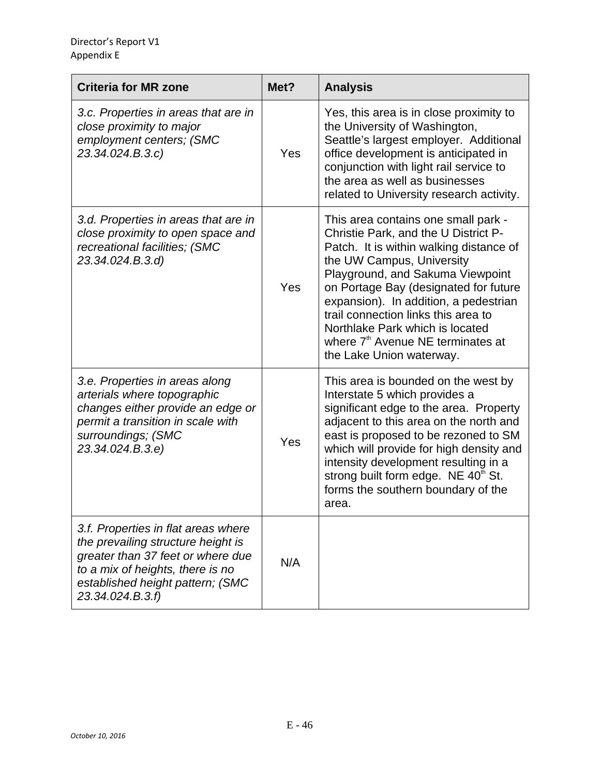| <b>Criteria for MR zone</b>                                                                                                                                                                                | Met? | <b>Analysis</b>                                                                                                                                                                                                                                                                                                                                                                                                                  |
|------------------------------------------------------------------------------------------------------------------------------------------------------------------------------------------------------------|------|----------------------------------------------------------------------------------------------------------------------------------------------------------------------------------------------------------------------------------------------------------------------------------------------------------------------------------------------------------------------------------------------------------------------------------|
| 3.c. Properties in areas that are in<br>close proximity to major<br>employment centers; (SMC<br>23.34.024.B.3.c)                                                                                           | Yes  | Yes, this area is in close proximity to<br>the University of Washington,<br>Seattle's largest employer. Additional<br>office development is anticipated in<br>conjunction with light rail service to<br>the area as well as businesses<br>related to University research activity.                                                                                                                                               |
| 3.d. Properties in areas that are in<br>close proximity to open space and<br>recreational facilities; (SMC<br>23.34.024.B.3.d)                                                                             | Yes  | This area contains one small park -<br>Christie Park, and the U District P-<br>Patch. It is within walking distance of<br>the UW Campus, University<br>Playground, and Sakuma Viewpoint<br>on Portage Bay (designated for future<br>expansion). In addition, a pedestrian<br>trail connection links this area to<br>Northlake Park which is located<br>where 7 <sup>th</sup> Avenue NE terminates at<br>the Lake Union waterway. |
| 3.e. Properties in areas along<br>arterials where topographic<br>changes either provide an edge or<br>permit a transition in scale with<br>surroundings; (SMC<br>23.34.024.B.3.e)                          | Yes  | This area is bounded on the west by<br>Interstate 5 which provides a<br>significant edge to the area. Property<br>adjacent to this area on the north and<br>east is proposed to be rezoned to SM<br>which will provide for high density and<br>intensity development resulting in a<br>strong built form edge. NE 40 <sup>th</sup> St.<br>forms the southern boundary of the<br>area.                                            |
| 3.f. Properties in flat areas where<br>the prevailing structure height is<br>greater than 37 feet or where due<br>to a mix of heights, there is no<br>established height pattern; (SMC<br>23.34.024.B.3.f) | N/A  |                                                                                                                                                                                                                                                                                                                                                                                                                                  |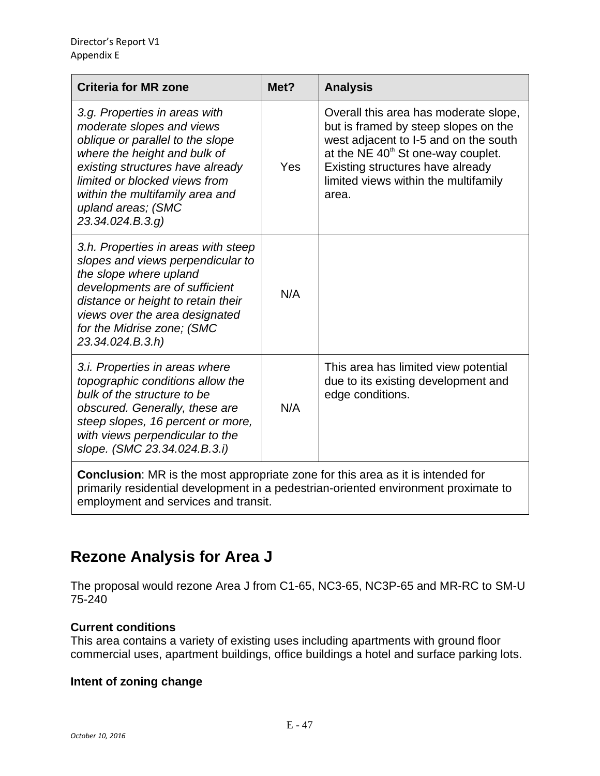| <b>Criteria for MR zone</b>                                                                                                                                                                                                                                                      | Met? | <b>Analysis</b>                                                                                                                                                                                                                                               |
|----------------------------------------------------------------------------------------------------------------------------------------------------------------------------------------------------------------------------------------------------------------------------------|------|---------------------------------------------------------------------------------------------------------------------------------------------------------------------------------------------------------------------------------------------------------------|
| 3.g. Properties in areas with<br>moderate slopes and views<br>oblique or parallel to the slope<br>where the height and bulk of<br>existing structures have already<br>limited or blocked views from<br>within the multifamily area and<br>upland areas; (SMC<br>23.34.024.B.3.g) | Yes  | Overall this area has moderate slope,<br>but is framed by steep slopes on the<br>west adjacent to I-5 and on the south<br>at the NE 40 <sup>th</sup> St one-way couplet.<br>Existing structures have already<br>limited views within the multifamily<br>area. |
| 3.h. Properties in areas with steep<br>slopes and views perpendicular to<br>the slope where upland<br>developments are of sufficient<br>distance or height to retain their<br>views over the area designated<br>for the Midrise zone; (SMC<br>23.34.024.B.3.h)                   | N/A  |                                                                                                                                                                                                                                                               |
| 3.i. Properties in areas where<br>topographic conditions allow the<br>bulk of the structure to be<br>obscured. Generally, these are<br>steep slopes, 16 percent or more,<br>with views perpendicular to the<br>slope. (SMC 23.34.024.B.3.i)                                      | N/A  | This area has limited view potential<br>due to its existing development and<br>edge conditions.                                                                                                                                                               |

**Conclusion**: MR is the most appropriate zone for this area as it is intended for primarily residential development in a pedestrian-oriented environment proximate to employment and services and transit.

# **Rezone Analysis for Area J**

The proposal would rezone Area J from C1-65, NC3-65, NC3P-65 and MR-RC to SM-U 75-240

# **Current conditions**

This area contains a variety of existing uses including apartments with ground floor commercial uses, apartment buildings, office buildings a hotel and surface parking lots.

## **Intent of zoning change**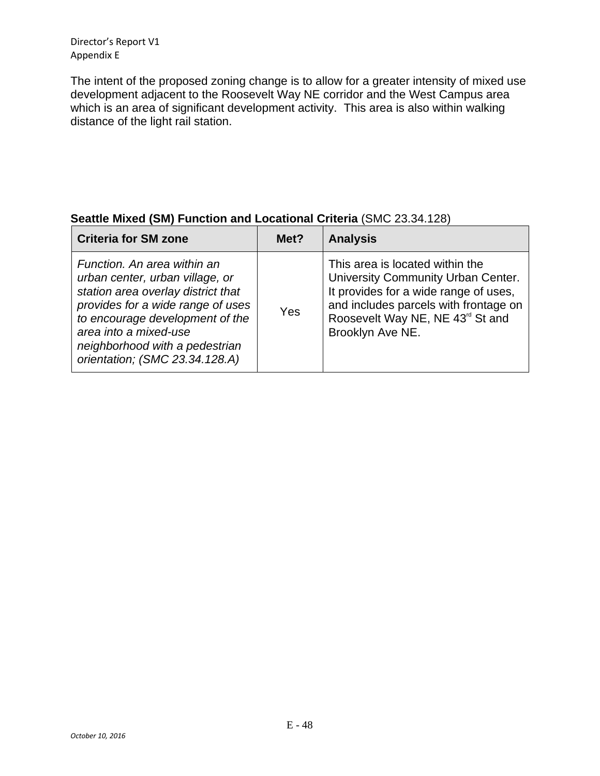The intent of the proposed zoning change is to allow for a greater intensity of mixed use development adjacent to the Roosevelt Way NE corridor and the West Campus area which is an area of significant development activity. This area is also within walking distance of the light rail station.

| <b>Criteria for SM zone</b>                                                                                                                                                                                                                                               | Met? | <b>Analysis</b>                                                                                                                                                                                                             |
|---------------------------------------------------------------------------------------------------------------------------------------------------------------------------------------------------------------------------------------------------------------------------|------|-----------------------------------------------------------------------------------------------------------------------------------------------------------------------------------------------------------------------------|
| Function. An area within an<br>urban center, urban village, or<br>station area overlay district that<br>provides for a wide range of uses<br>to encourage development of the<br>area into a mixed-use<br>neighborhood with a pedestrian<br>orientation; (SMC 23.34.128.A) | Yes  | This area is located within the<br>University Community Urban Center.<br>It provides for a wide range of uses,<br>and includes parcels with frontage on<br>Roosevelt Way NE, NE 43 <sup>rd</sup> St and<br>Brooklyn Ave NE. |

# **Seattle Mixed (SM) Function and Locational Criteria** (SMC 23.34.128)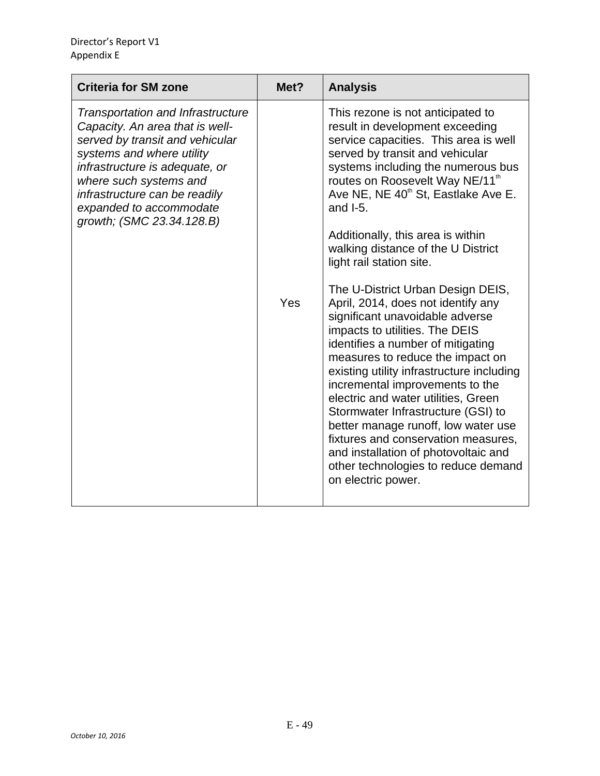| <b>Criteria for SM zone</b>                                                                                                                                                                                                                                                               | Met? | <b>Analysis</b>                                                                                                                                                                                                                                                                                                                                                                                                                                                                                                                                                                                                                                                                                                                                                                                                                                                                                                                                                                         |
|-------------------------------------------------------------------------------------------------------------------------------------------------------------------------------------------------------------------------------------------------------------------------------------------|------|-----------------------------------------------------------------------------------------------------------------------------------------------------------------------------------------------------------------------------------------------------------------------------------------------------------------------------------------------------------------------------------------------------------------------------------------------------------------------------------------------------------------------------------------------------------------------------------------------------------------------------------------------------------------------------------------------------------------------------------------------------------------------------------------------------------------------------------------------------------------------------------------------------------------------------------------------------------------------------------------|
| Transportation and Infrastructure<br>Capacity. An area that is well-<br>served by transit and vehicular<br>systems and where utility<br>infrastructure is adequate, or<br>where such systems and<br>infrastructure can be readily<br>expanded to accommodate<br>growth; (SMC 23.34.128.B) | Yes  | This rezone is not anticipated to<br>result in development exceeding<br>service capacities. This area is well<br>served by transit and vehicular<br>systems including the numerous bus<br>routes on Roosevelt Way NE/11 <sup>th</sup><br>Ave NE, NE 40 <sup>th</sup> St, Eastlake Ave E.<br>and $I-5$ .<br>Additionally, this area is within<br>walking distance of the U District<br>light rail station site.<br>The U-District Urban Design DEIS,<br>April, 2014, does not identify any<br>significant unavoidable adverse<br>impacts to utilities. The DEIS<br>identifies a number of mitigating<br>measures to reduce the impact on<br>existing utility infrastructure including<br>incremental improvements to the<br>electric and water utilities, Green<br>Stormwater Infrastructure (GSI) to<br>better manage runoff, low water use<br>fixtures and conservation measures,<br>and installation of photovoltaic and<br>other technologies to reduce demand<br>on electric power. |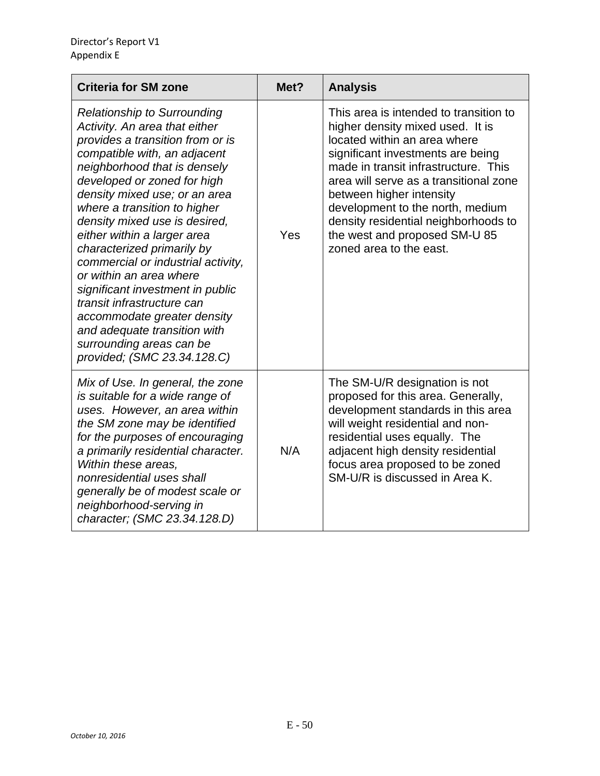| <b>Criteria for SM zone</b>                                                                                                                                                                                                                                                                                                                                                                                                                                                                                                                                                                                                        | Met? | <b>Analysis</b>                                                                                                                                                                                                                                                                                                                                                                                       |
|------------------------------------------------------------------------------------------------------------------------------------------------------------------------------------------------------------------------------------------------------------------------------------------------------------------------------------------------------------------------------------------------------------------------------------------------------------------------------------------------------------------------------------------------------------------------------------------------------------------------------------|------|-------------------------------------------------------------------------------------------------------------------------------------------------------------------------------------------------------------------------------------------------------------------------------------------------------------------------------------------------------------------------------------------------------|
| <b>Relationship to Surrounding</b><br>Activity. An area that either<br>provides a transition from or is<br>compatible with, an adjacent<br>neighborhood that is densely<br>developed or zoned for high<br>density mixed use; or an area<br>where a transition to higher<br>density mixed use is desired,<br>either within a larger area<br>characterized primarily by<br>commercial or industrial activity,<br>or within an area where<br>significant investment in public<br>transit infrastructure can<br>accommodate greater density<br>and adequate transition with<br>surrounding areas can be<br>provided; (SMC 23.34.128.C) | Yes  | This area is intended to transition to<br>higher density mixed used. It is<br>located within an area where<br>significant investments are being<br>made in transit infrastructure. This<br>area will serve as a transitional zone<br>between higher intensity<br>development to the north, medium<br>density residential neighborhoods to<br>the west and proposed SM-U 85<br>zoned area to the east. |
| Mix of Use. In general, the zone<br>is suitable for a wide range of<br>uses. However, an area within<br>the SM zone may be identified<br>for the purposes of encouraging<br>a primarily residential character.<br>Within these areas,<br>nonresidential uses shall<br>generally be of modest scale or<br>neighborhood-serving in<br>character; (SMC 23.34.128.D)                                                                                                                                                                                                                                                                   | N/A  | The SM-U/R designation is not<br>proposed for this area. Generally,<br>development standards in this area<br>will weight residential and non-<br>residential uses equally. The<br>adjacent high density residential<br>focus area proposed to be zoned<br>SM-U/R is discussed in Area K.                                                                                                              |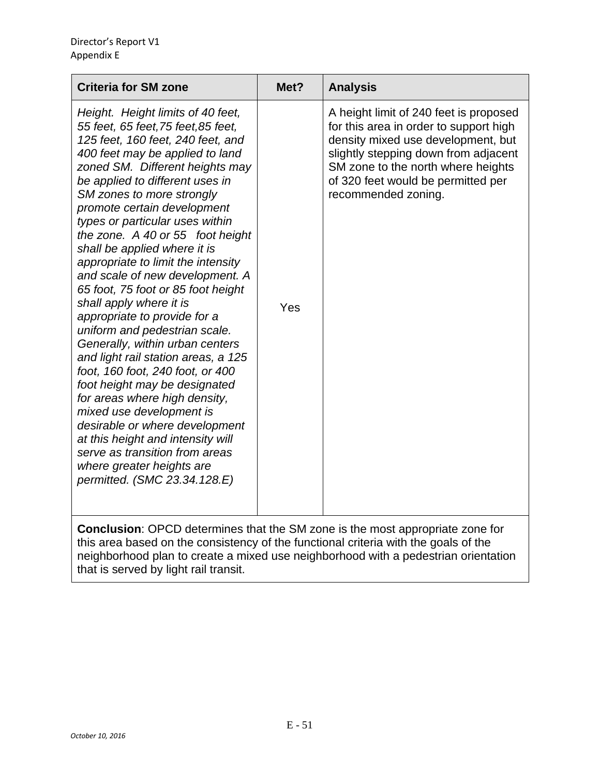| <b>Criteria for SM zone</b>                                                                                                                                                                                                                                                                                                                                                                                                                                                                                                                                                                                                                                                                                                                                                                                                                                                                                                                                                            | Met? | <b>Analysis</b>                                                                                                                                                                                                                                                   |
|----------------------------------------------------------------------------------------------------------------------------------------------------------------------------------------------------------------------------------------------------------------------------------------------------------------------------------------------------------------------------------------------------------------------------------------------------------------------------------------------------------------------------------------------------------------------------------------------------------------------------------------------------------------------------------------------------------------------------------------------------------------------------------------------------------------------------------------------------------------------------------------------------------------------------------------------------------------------------------------|------|-------------------------------------------------------------------------------------------------------------------------------------------------------------------------------------------------------------------------------------------------------------------|
| Height. Height limits of 40 feet,<br>55 feet, 65 feet, 75 feet, 85 feet,<br>125 feet, 160 feet, 240 feet, and<br>400 feet may be applied to land<br>zoned SM. Different heights may<br>be applied to different uses in<br>SM zones to more strongly<br>promote certain development<br>types or particular uses within<br>the zone. A 40 or 55 foot height<br>shall be applied where it is<br>appropriate to limit the intensity<br>and scale of new development. A<br>65 foot, 75 foot or 85 foot height<br>shall apply where it is<br>appropriate to provide for a<br>uniform and pedestrian scale.<br>Generally, within urban centers<br>and light rail station areas, a 125<br>foot, 160 foot, 240 foot, or 400<br>foot height may be designated<br>for areas where high density,<br>mixed use development is<br>desirable or where development<br>at this height and intensity will<br>serve as transition from areas<br>where greater heights are<br>permitted. (SMC 23.34.128.E) | Yes  | A height limit of 240 feet is proposed<br>for this area in order to support high<br>density mixed use development, but<br>slightly stepping down from adjacent<br>SM zone to the north where heights<br>of 320 feet would be permitted per<br>recommended zoning. |
|                                                                                                                                                                                                                                                                                                                                                                                                                                                                                                                                                                                                                                                                                                                                                                                                                                                                                                                                                                                        |      |                                                                                                                                                                                                                                                                   |

**Conclusion**: OPCD determines that the SM zone is the most appropriate zone for this area based on the consistency of the functional criteria with the goals of the neighborhood plan to create a mixed use neighborhood with a pedestrian orientation that is served by light rail transit.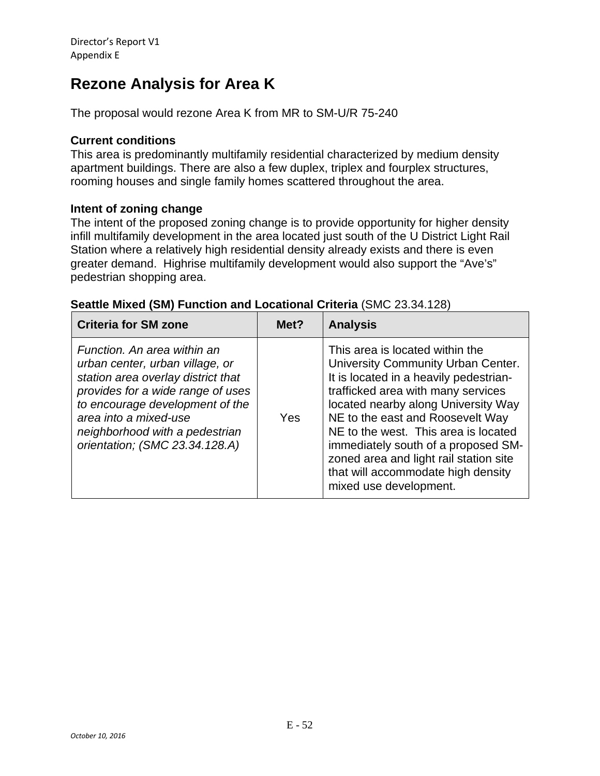# **Rezone Analysis for Area K**

The proposal would rezone Area K from MR to SM-U/R 75-240

### **Current conditions**

This area is predominantly multifamily residential characterized by medium density apartment buildings. There are also a few duplex, triplex and fourplex structures, rooming houses and single family homes scattered throughout the area.

### **Intent of zoning change**

The intent of the proposed zoning change is to provide opportunity for higher density infill multifamily development in the area located just south of the U District Light Rail Station where a relatively high residential density already exists and there is even greater demand. Highrise multifamily development would also support the "Ave's" pedestrian shopping area.

| <b>Seattle Mixed (SM) Function and Locational Criteria (SMC 23.34.128)</b> |      |             |
|----------------------------------------------------------------------------|------|-------------|
| Criteria for SM zone                                                       | Met? | ∣ Analysis' |

| Criteria for SM zone                                                                                                                                                                                                                                                      | Met? | <b>Analysis</b>                                                                                                                                                                                                                                                                                                                                                                                                           |
|---------------------------------------------------------------------------------------------------------------------------------------------------------------------------------------------------------------------------------------------------------------------------|------|---------------------------------------------------------------------------------------------------------------------------------------------------------------------------------------------------------------------------------------------------------------------------------------------------------------------------------------------------------------------------------------------------------------------------|
| Function. An area within an<br>urban center, urban village, or<br>station area overlay district that<br>provides for a wide range of uses<br>to encourage development of the<br>area into a mixed-use<br>neighborhood with a pedestrian<br>orientation; (SMC 23.34.128.A) | Yes  | This area is located within the<br>University Community Urban Center.<br>It is located in a heavily pedestrian-<br>trafficked area with many services<br>located nearby along University Way<br>NE to the east and Roosevelt Way<br>NE to the west. This area is located<br>immediately south of a proposed SM-<br>zoned area and light rail station site<br>that will accommodate high density<br>mixed use development. |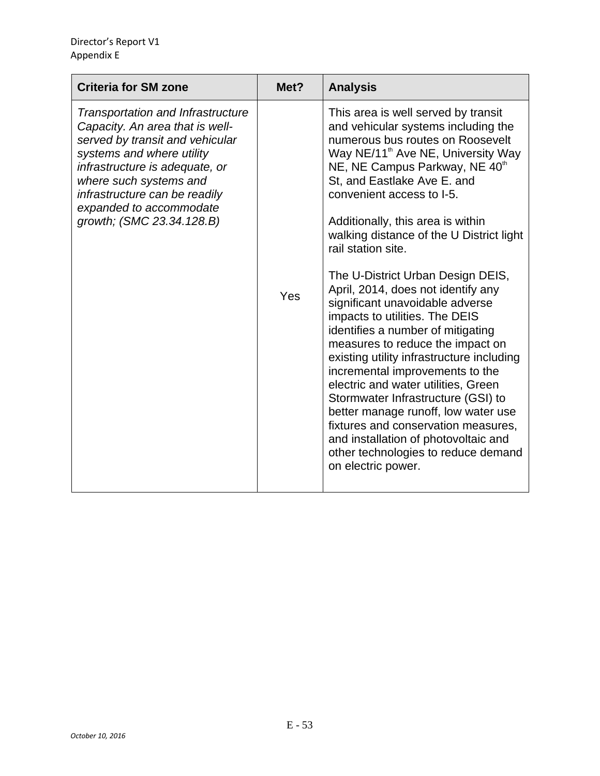| <b>Criteria for SM zone</b>                                                                                                                                                                                                                                                               | Met? | <b>Analysis</b>                                                                                                                                                                                                                                                                                                                                                                                                                                                                                                                                                                                                                                                                                                                                                                                                                                                                                                                                            |
|-------------------------------------------------------------------------------------------------------------------------------------------------------------------------------------------------------------------------------------------------------------------------------------------|------|------------------------------------------------------------------------------------------------------------------------------------------------------------------------------------------------------------------------------------------------------------------------------------------------------------------------------------------------------------------------------------------------------------------------------------------------------------------------------------------------------------------------------------------------------------------------------------------------------------------------------------------------------------------------------------------------------------------------------------------------------------------------------------------------------------------------------------------------------------------------------------------------------------------------------------------------------------|
| Transportation and Infrastructure<br>Capacity. An area that is well-<br>served by transit and vehicular<br>systems and where utility<br>infrastructure is adequate, or<br>where such systems and<br>infrastructure can be readily<br>expanded to accommodate<br>growth; (SMC 23.34.128.B) | Yes  | This area is well served by transit<br>and vehicular systems including the<br>numerous bus routes on Roosevelt<br>Way NE/11 <sup>th</sup> Ave NE, University Way<br>NE, NE Campus Parkway, NE 40 <sup>th</sup><br>St, and Eastlake Ave E. and<br>convenient access to I-5.<br>Additionally, this area is within<br>walking distance of the U District light<br>rail station site.<br>The U-District Urban Design DEIS,<br>April, 2014, does not identify any<br>significant unavoidable adverse<br>impacts to utilities. The DEIS<br>identifies a number of mitigating<br>measures to reduce the impact on<br>existing utility infrastructure including<br>incremental improvements to the<br>electric and water utilities, Green<br>Stormwater Infrastructure (GSI) to<br>better manage runoff, low water use<br>fixtures and conservation measures,<br>and installation of photovoltaic and<br>other technologies to reduce demand<br>on electric power. |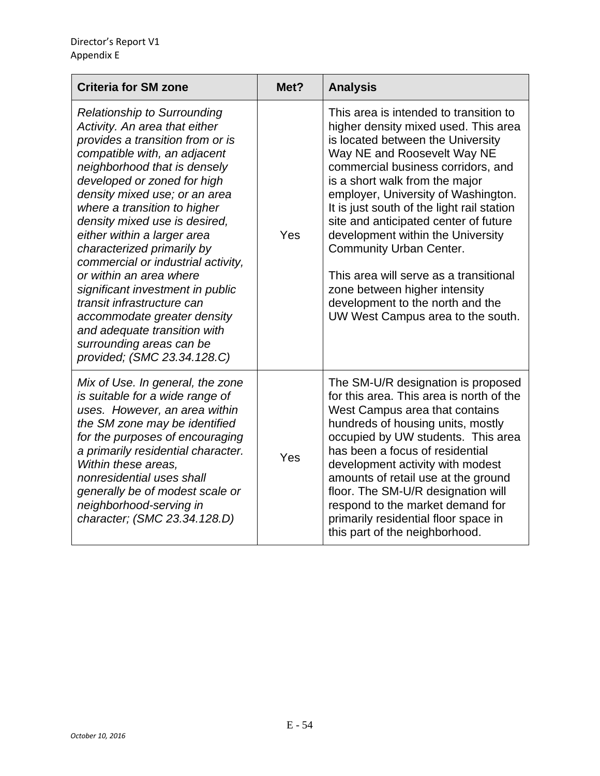| <b>Criteria for SM zone</b>                                                                                                                                                                                                                                                                                                                                                                                                                                                                                                                                                                                                        | Met? | <b>Analysis</b>                                                                                                                                                                                                                                                                                                                                                                                                                                                                                                                                                                     |
|------------------------------------------------------------------------------------------------------------------------------------------------------------------------------------------------------------------------------------------------------------------------------------------------------------------------------------------------------------------------------------------------------------------------------------------------------------------------------------------------------------------------------------------------------------------------------------------------------------------------------------|------|-------------------------------------------------------------------------------------------------------------------------------------------------------------------------------------------------------------------------------------------------------------------------------------------------------------------------------------------------------------------------------------------------------------------------------------------------------------------------------------------------------------------------------------------------------------------------------------|
| <b>Relationship to Surrounding</b><br>Activity. An area that either<br>provides a transition from or is<br>compatible with, an adjacent<br>neighborhood that is densely<br>developed or zoned for high<br>density mixed use; or an area<br>where a transition to higher<br>density mixed use is desired,<br>either within a larger area<br>characterized primarily by<br>commercial or industrial activity,<br>or within an area where<br>significant investment in public<br>transit infrastructure can<br>accommodate greater density<br>and adequate transition with<br>surrounding areas can be<br>provided; (SMC 23.34.128.C) | Yes  | This area is intended to transition to<br>higher density mixed used. This area<br>is located between the University<br>Way NE and Roosevelt Way NE<br>commercial business corridors, and<br>is a short walk from the major<br>employer, University of Washington.<br>It is just south of the light rail station<br>site and anticipated center of future<br>development within the University<br><b>Community Urban Center.</b><br>This area will serve as a transitional<br>zone between higher intensity<br>development to the north and the<br>UW West Campus area to the south. |
| Mix of Use. In general, the zone<br>is suitable for a wide range of<br>uses. However, an area within<br>the SM zone may be identified<br>for the purposes of encouraging<br>a primarily residential character.<br>Within these areas,<br>nonresidential uses shall<br>generally be of modest scale or<br>neighborhood-serving in<br>character; (SMC 23.34.128.D)                                                                                                                                                                                                                                                                   | Yes  | The SM-U/R designation is proposed<br>for this area. This area is north of the<br>West Campus area that contains<br>hundreds of housing units, mostly<br>occupied by UW students. This area<br>has been a focus of residential<br>development activity with modest<br>amounts of retail use at the ground<br>floor. The SM-U/R designation will<br>respond to the market demand for<br>primarily residential floor space in<br>this part of the neighborhood.                                                                                                                       |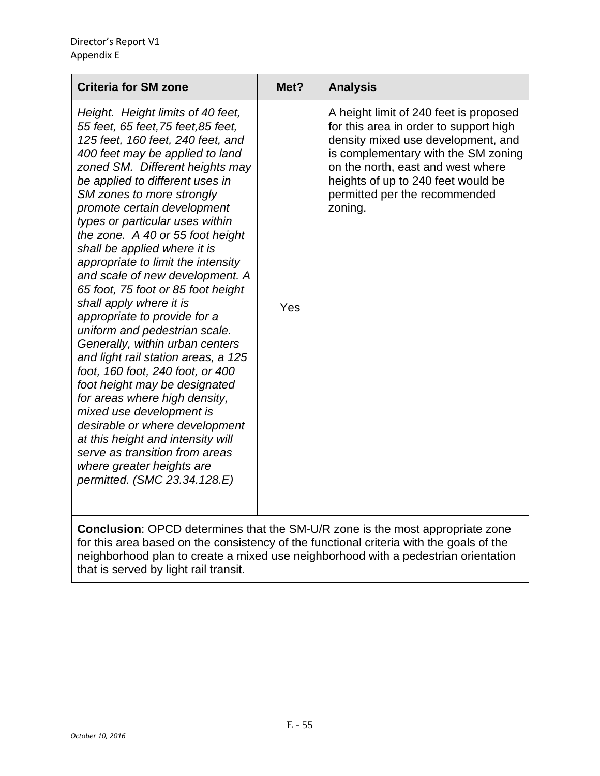| Height. Height limits of 40 feet,<br>55 feet, 65 feet, 75 feet, 85 feet,<br>125 feet, 160 feet, 240 feet, and<br>400 feet may be applied to land                                                                                                                                                                                                                                                                                                                                                                                                                                                                                                                                                                                                                                                                                                     | A height limit of 240 feet is proposed<br>for this area in order to support high<br>density mixed use development, and<br>is complementary with the SM zoning<br>on the north, east and west where<br>heights of up to 240 feet would be |
|------------------------------------------------------------------------------------------------------------------------------------------------------------------------------------------------------------------------------------------------------------------------------------------------------------------------------------------------------------------------------------------------------------------------------------------------------------------------------------------------------------------------------------------------------------------------------------------------------------------------------------------------------------------------------------------------------------------------------------------------------------------------------------------------------------------------------------------------------|------------------------------------------------------------------------------------------------------------------------------------------------------------------------------------------------------------------------------------------|
| zoned SM. Different heights may<br>be applied to different uses in<br>SM zones to more strongly<br>promote certain development<br>zoning.<br>types or particular uses within<br>the zone. A 40 or 55 foot height<br>shall be applied where it is<br>appropriate to limit the intensity<br>and scale of new development. A<br>65 foot, 75 foot or 85 foot height<br>shall apply where it is<br>Yes<br>appropriate to provide for a<br>uniform and pedestrian scale.<br>Generally, within urban centers<br>and light rail station areas, a 125<br>foot, 160 foot, 240 foot, or 400<br>foot height may be designated<br>for areas where high density,<br>mixed use development is<br>desirable or where development<br>at this height and intensity will<br>serve as transition from areas<br>where greater heights are<br>permitted. (SMC 23.34.128.E) | permitted per the recommended                                                                                                                                                                                                            |

**Conclusion**: OPCD determines that the SM-U/R zone is the most appropriate zone for this area based on the consistency of the functional criteria with the goals of the neighborhood plan to create a mixed use neighborhood with a pedestrian orientation that is served by light rail transit.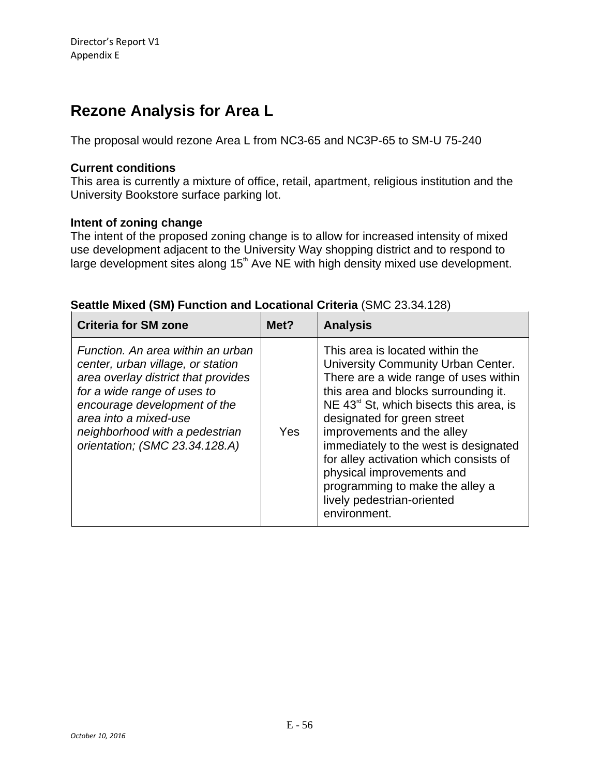# **Rezone Analysis for Area L**

The proposal would rezone Area L from NC3-65 and NC3P-65 to SM-U 75-240

## **Current conditions**

This area is currently a mixture of office, retail, apartment, religious institution and the University Bookstore surface parking lot.

## **Intent of zoning change**

The intent of the proposed zoning change is to allow for increased intensity of mixed use development adjacent to the University Way shopping district and to respond to large development sites along  $15<sup>th</sup>$  Ave NE with high density mixed use development.

| <b>Criteria for SM zone</b>                                                                                                                                                                                                                                               | Met? | <b>Analysis</b>                                                                                                                                                                                                                                                                                                                                                                                                                                                             |
|---------------------------------------------------------------------------------------------------------------------------------------------------------------------------------------------------------------------------------------------------------------------------|------|-----------------------------------------------------------------------------------------------------------------------------------------------------------------------------------------------------------------------------------------------------------------------------------------------------------------------------------------------------------------------------------------------------------------------------------------------------------------------------|
| Function. An area within an urban<br>center, urban village, or station<br>area overlay district that provides<br>for a wide range of uses to<br>encourage development of the<br>area into a mixed-use<br>neighborhood with a pedestrian<br>orientation; (SMC 23.34.128.A) | Yes  | This area is located within the<br>University Community Urban Center.<br>There are a wide range of uses within<br>this area and blocks surrounding it.<br>NE 43 <sup>rd</sup> St, which bisects this area, is<br>designated for green street<br>improvements and the alley<br>immediately to the west is designated<br>for alley activation which consists of<br>physical improvements and<br>programming to make the alley a<br>lively pedestrian-oriented<br>environment. |

## **Seattle Mixed (SM) Function and Locational Criteria** (SMC 23.34.128)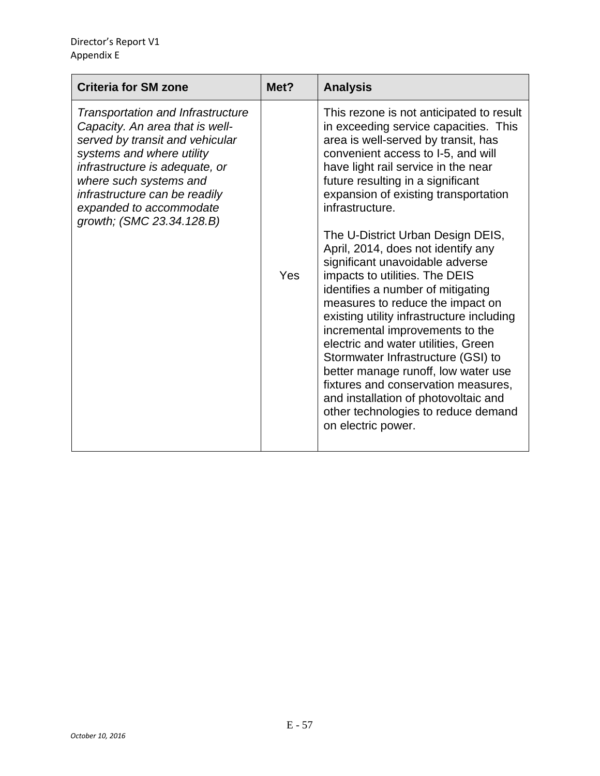| <b>Criteria for SM zone</b>                                                                                                                                                                                                                                                               | Met? | <b>Analysis</b>                                                                                                                                                                                                                                                                                                                                                                                                                                                                                                                                                                                                                                                                                                                                                                                                                                                                |
|-------------------------------------------------------------------------------------------------------------------------------------------------------------------------------------------------------------------------------------------------------------------------------------------|------|--------------------------------------------------------------------------------------------------------------------------------------------------------------------------------------------------------------------------------------------------------------------------------------------------------------------------------------------------------------------------------------------------------------------------------------------------------------------------------------------------------------------------------------------------------------------------------------------------------------------------------------------------------------------------------------------------------------------------------------------------------------------------------------------------------------------------------------------------------------------------------|
| Transportation and Infrastructure<br>Capacity. An area that is well-<br>served by transit and vehicular<br>systems and where utility<br>infrastructure is adequate, or<br>where such systems and<br>infrastructure can be readily<br>expanded to accommodate<br>growth; (SMC 23.34.128.B) | Yes  | This rezone is not anticipated to result<br>in exceeding service capacities. This<br>area is well-served by transit, has<br>convenient access to I-5, and will<br>have light rail service in the near<br>future resulting in a significant<br>expansion of existing transportation<br>infrastructure.<br>The U-District Urban Design DEIS,<br>April, 2014, does not identify any<br>significant unavoidable adverse<br>impacts to utilities. The DEIS<br>identifies a number of mitigating<br>measures to reduce the impact on<br>existing utility infrastructure including<br>incremental improvements to the<br>electric and water utilities, Green<br>Stormwater Infrastructure (GSI) to<br>better manage runoff, low water use<br>fixtures and conservation measures,<br>and installation of photovoltaic and<br>other technologies to reduce demand<br>on electric power. |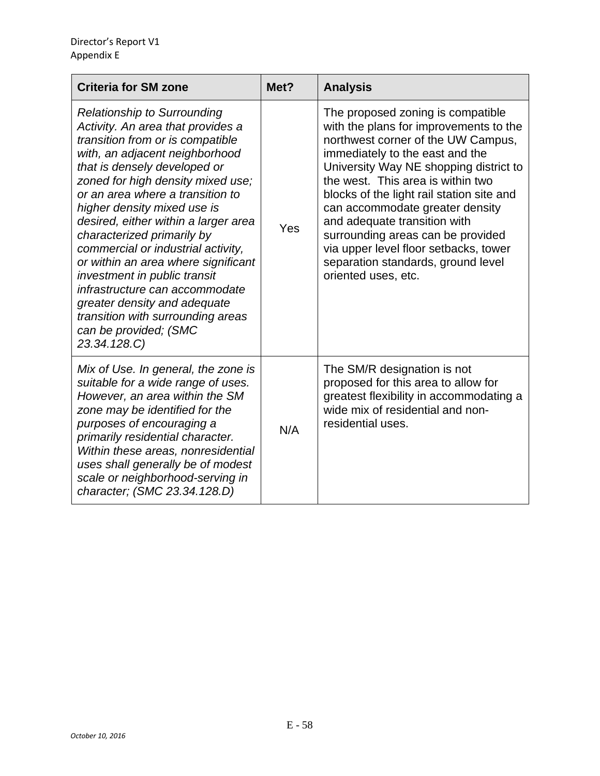| <b>Criteria for SM zone</b>                                                                                                                                                                                                                                                                                                                                                                                                                                                                                                                                                                                              | Met? | <b>Analysis</b>                                                                                                                                                                                                                                                                                                                                                                                                                                                                                |
|--------------------------------------------------------------------------------------------------------------------------------------------------------------------------------------------------------------------------------------------------------------------------------------------------------------------------------------------------------------------------------------------------------------------------------------------------------------------------------------------------------------------------------------------------------------------------------------------------------------------------|------|------------------------------------------------------------------------------------------------------------------------------------------------------------------------------------------------------------------------------------------------------------------------------------------------------------------------------------------------------------------------------------------------------------------------------------------------------------------------------------------------|
| <b>Relationship to Surrounding</b><br>Activity. An area that provides a<br>transition from or is compatible<br>with, an adjacent neighborhood<br>that is densely developed or<br>zoned for high density mixed use;<br>or an area where a transition to<br>higher density mixed use is<br>desired, either within a larger area<br>characterized primarily by<br>commercial or industrial activity,<br>or within an area where significant<br>investment in public transit<br>infrastructure can accommodate<br>greater density and adequate<br>transition with surrounding areas<br>can be provided; (SMC<br>23.34.128.C) | Yes  | The proposed zoning is compatible<br>with the plans for improvements to the<br>northwest corner of the UW Campus,<br>immediately to the east and the<br>University Way NE shopping district to<br>the west. This area is within two<br>blocks of the light rail station site and<br>can accommodate greater density<br>and adequate transition with<br>surrounding areas can be provided<br>via upper level floor setbacks, tower<br>separation standards, ground level<br>oriented uses, etc. |
| Mix of Use. In general, the zone is<br>suitable for a wide range of uses.<br>However, an area within the SM<br>zone may be identified for the<br>purposes of encouraging a<br>primarily residential character.<br>Within these areas, nonresidential<br>uses shall generally be of modest<br>scale or neighborhood-serving in<br>character; (SMC 23.34.128.D)                                                                                                                                                                                                                                                            | N/A  | The SM/R designation is not<br>proposed for this area to allow for<br>greatest flexibility in accommodating a<br>wide mix of residential and non-<br>residential uses.                                                                                                                                                                                                                                                                                                                         |